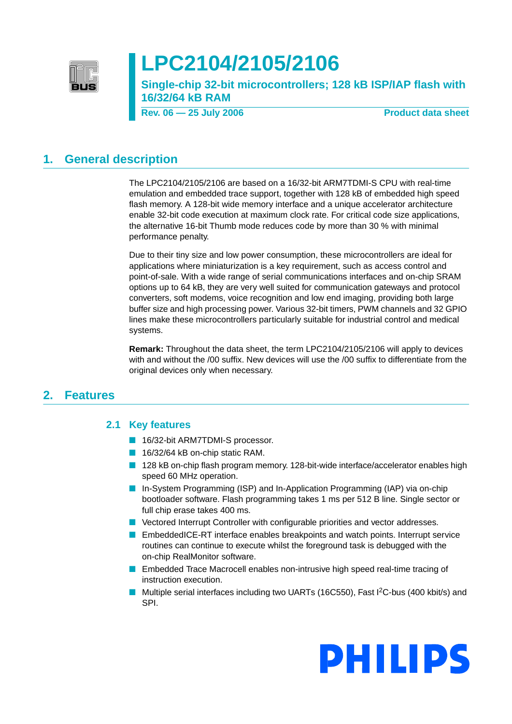

# **LPC2104/2105/2106**

**Single-chip 32-bit microcontrollers; 128 kB ISP/IAP flash with 16/32/64 kB RAM**

**Rev. 06 – 25 July 2006** Product data sheet

### <span id="page-0-0"></span>**1. General description**

The LPC2104/2105/2106 are based on a 16/32-bit ARM7TDMI-S CPU with real-time emulation and embedded trace support, together with 128 kB of embedded high speed flash memory. A 128-bit wide memory interface and a unique accelerator architecture enable 32-bit code execution at maximum clock rate. For critical code size applications, the alternative 16-bit Thumb mode reduces code by more than 30 % with minimal performance penalty.

Due to their tiny size and low power consumption, these microcontrollers are ideal for applications where miniaturization is a key requirement, such as access control and point-of-sale. With a wide range of serial communications interfaces and on-chip SRAM options up to 64 kB, they are very well suited for communication gateways and protocol converters, soft modems, voice recognition and low end imaging, providing both large buffer size and high processing power. Various 32-bit timers, PWM channels and 32 GPIO lines make these microcontrollers particularly suitable for industrial control and medical systems.

**Remark:** Throughout the data sheet, the term LPC2104/2105/2106 will apply to devices with and without the /00 suffix. New devices will use the /00 suffix to differentiate from the original devices only when necessary.

### <span id="page-0-2"></span><span id="page-0-1"></span>**2. Features**

### **2.1 Key features**

- 16/32-bit ARM7TDMI-S processor.
- 16/32/64 kB on-chip static RAM.
- 128 kB on-chip flash program memory. 128-bit-wide interface/accelerator enables high speed 60 MHz operation.
- In-System Programming (ISP) and In-Application Programming (IAP) via on-chip bootloader software. Flash programming takes 1 ms per 512 B line. Single sector or full chip erase takes 400 ms.
- Vectored Interrupt Controller with configurable priorities and vector addresses.
- EmbeddedICE-RT interface enables breakpoints and watch points. Interrupt service routines can continue to execute whilst the foreground task is debugged with the on-chip RealMonitor software.
- Embedded Trace Macrocell enables non-intrusive high speed real-time tracing of instruction execution.
- Multiple serial interfaces including two UARTs (16C550), Fast I<sup>2</sup>C-bus (400 kbit/s) and SPI.

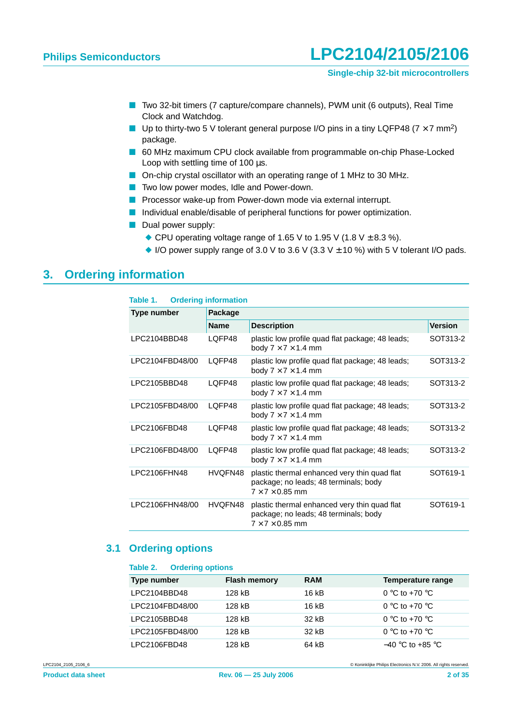- Two 32-bit timers (7 capture/compare channels), PWM unit (6 outputs), Real Time Clock and Watchdog.
- **Up to thirty-two 5 V tolerant general purpose I/O pins in a tiny LQFP48 (7**  $\times$  **7 mm<sup>2</sup>)** package.
- 60 MHz maximum CPU clock available from programmable on-chip Phase-Locked Loop with settling time of 100 µs.
- On-chip crystal oscillator with an operating range of 1 MHz to 30 MHz.
- Two low power modes, Idle and Power-down.
- Processor wake-up from Power-down mode via external interrupt.
- Individual enable/disable of peripheral functions for power optimization.
- Dual power supply:
	- ◆ CPU operating voltage range of 1.65 V to 1.95 V (1.8 V  $\pm$  8.3 %).
	- $\blacklozenge$  I/O power supply range of 3.0 V to 3.6 V (3.3 V  $\pm$  10 %) with 5 V tolerant I/O pads.

### <span id="page-1-0"></span>**3. Ordering information**

| Table 1.        | <b>Ordering information</b> |                                                                                                                      |                |  |  |  |  |  |
|-----------------|-----------------------------|----------------------------------------------------------------------------------------------------------------------|----------------|--|--|--|--|--|
| Type number     | Package                     |                                                                                                                      |                |  |  |  |  |  |
|                 | <b>Name</b>                 | <b>Description</b>                                                                                                   | <b>Version</b> |  |  |  |  |  |
| LPC2104BBD48    | LQFP48                      | plastic low profile quad flat package; 48 leads;<br>body $7 \times 7 \times 1.4$ mm                                  | SOT313-2       |  |  |  |  |  |
| LPC2104FBD48/00 | LOFP48                      | plastic low profile quad flat package; 48 leads;<br>body $7 \times 7 \times 1.4$ mm                                  | SOT313-2       |  |  |  |  |  |
| LPC2105BBD48    | LOFP48                      | plastic low profile quad flat package; 48 leads;<br>body $7 \times 7 \times 1.4$ mm                                  | SOT313-2       |  |  |  |  |  |
| LPC2105FBD48/00 | LOFP48                      | plastic low profile quad flat package; 48 leads;<br>body $7 \times 7 \times 1.4$ mm                                  | SOT313-2       |  |  |  |  |  |
| LPC2106FBD48    | LOFP48                      | plastic low profile quad flat package; 48 leads;<br>body $7 \times 7 \times 1.4$ mm                                  | SOT313-2       |  |  |  |  |  |
| LPC2106FBD48/00 | LQFP48                      | plastic low profile quad flat package; 48 leads;<br>body $7 \times 7 \times 1.4$ mm                                  | SOT313-2       |  |  |  |  |  |
| LPC2106FHN48    | HVQFN48                     | plastic thermal enhanced very thin quad flat<br>package; no leads; 48 terminals; body<br>$7 \times 7 \times 0.85$ mm | SOT619-1       |  |  |  |  |  |
| LPC2106FHN48/00 | HVQFN48                     | plastic thermal enhanced very thin quad flat<br>package; no leads; 48 terminals; body<br>$7 \times 7 \times 0.85$ mm | SOT619-1       |  |  |  |  |  |

#### <span id="page-1-1"></span>**3.1 Ordering options**

#### **Table 2. Ordering options**

| Type number     | <b>Flash memory</b> | <b>RAM</b> | Temperature range  |
|-----------------|---------------------|------------|--------------------|
| LPC2104BBD48    | 128 kB              | 16 kB      | 0 °C to +70 °C     |
| LPC2104FBD48/00 | 128 kB              | 16 kB      | 0 °C to +70 °C     |
| LPC2105BBD48    | 128 kB              | 32 kB      | 0 °C to +70 °C     |
| LPC2105FBD48/00 | 128 kB              | 32 kB      | 0 °C to +70 °C     |
| LPC2106FBD48    | 128 kB              | 64 kB      | $-40$ °C to +85 °C |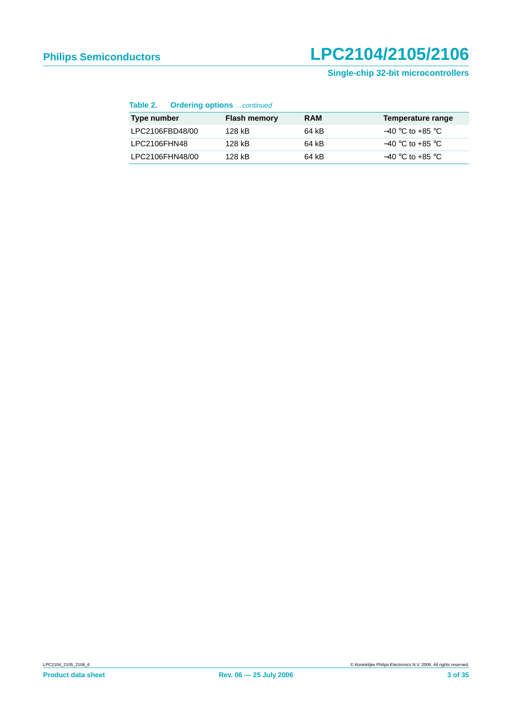### **Single-chip 32-bit microcontrollers**

#### **Table 2. Ordering options** …continued

| Type number     | <b>Flash memory</b> | <b>RAM</b> | Temperature range  |
|-----------------|---------------------|------------|--------------------|
| LPC2106FBD48/00 | 128 kB              | 64 kB      | $-40$ °C to +85 °C |
| LPC2106FHN48    | 128 kB              | 64 kB      | $-40$ °C to +85 °C |
| LPC2106FHN48/00 | 128 kB              | 64 kB      | $-40$ °C to +85 °C |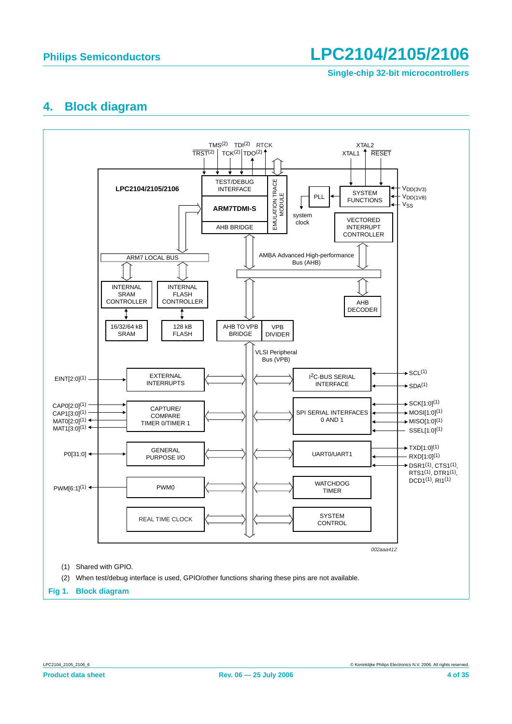**Single-chip 32-bit microcontrollers**

### <span id="page-3-0"></span>**4. Block diagram**

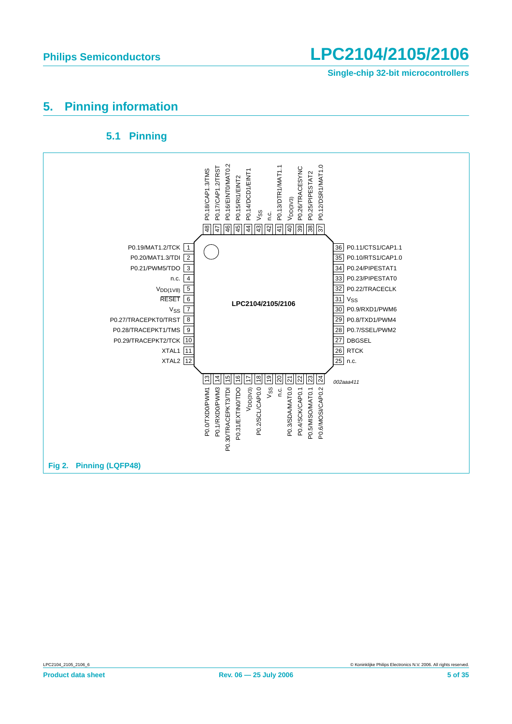**Single-chip 32-bit microcontrollers**

## <span id="page-4-0"></span>**5. Pinning information**

### **5.1 Pinning**

<span id="page-4-1"></span>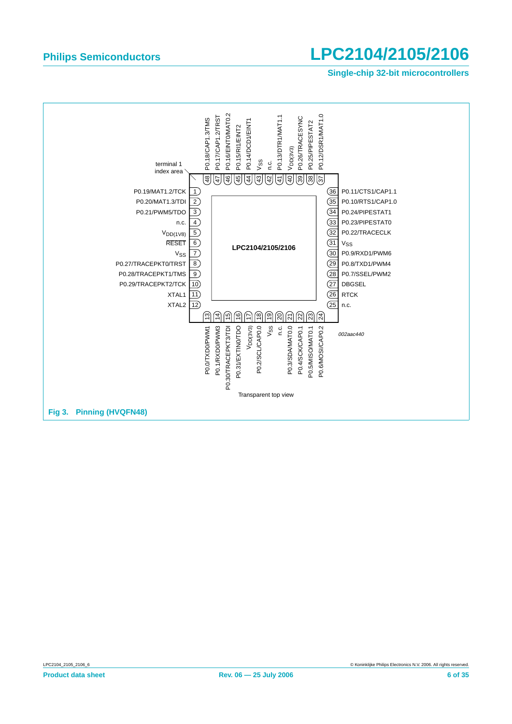#### **Single-chip 32-bit microcontrollers**

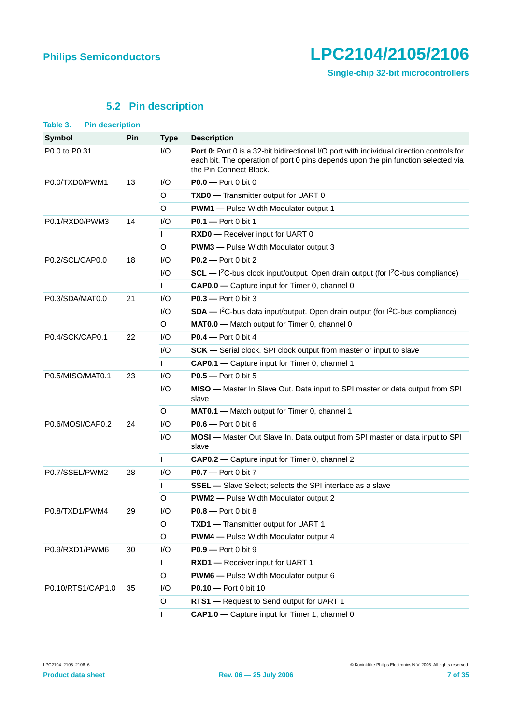## **5.2 Pin description**

<span id="page-6-0"></span>

| Table 3.<br><b>Pin description</b> |     |             |                                                                                                                                                                                                         |
|------------------------------------|-----|-------------|---------------------------------------------------------------------------------------------------------------------------------------------------------------------------------------------------------|
| <b>Symbol</b>                      | Pin | <b>Type</b> | <b>Description</b>                                                                                                                                                                                      |
| P0.0 to P0.31                      |     | I/O         | Port 0: Port 0 is a 32-bit bidirectional I/O port with individual direction controls for<br>each bit. The operation of port 0 pins depends upon the pin function selected via<br>the Pin Connect Block. |
| P0.0/TXD0/PWM1                     | 13  | I/O         | $PO.0$ - Port 0 bit 0                                                                                                                                                                                   |
|                                    |     | O           | <b>TXD0</b> - Transmitter output for UART 0                                                                                                                                                             |
|                                    |     | O           | <b>PWM1</b> - Pulse Width Modulator output 1                                                                                                                                                            |
| P0.1/RXD0/PWM3                     | 14  | 1/O         | $P0.1 - Port 0 bit 1$                                                                                                                                                                                   |
|                                    |     |             | RXD0 - Receiver input for UART 0                                                                                                                                                                        |
|                                    |     | O           | <b>PWM3</b> - Pulse Width Modulator output 3                                                                                                                                                            |
| P0.2/SCL/CAP0.0                    | 18  | 1/O         | $P0.2$ - Port 0 bit 2                                                                                                                                                                                   |
|                                    |     | 1/O         | $SCL$ - ${}^{12}C$ -bus clock input/output. Open drain output (for ${}^{12}C$ -bus compliance)                                                                                                          |
|                                    |     |             | CAP0.0 - Capture input for Timer 0, channel 0                                                                                                                                                           |
| P0.3/SDA/MAT0.0                    | 21  | 1/O         | $P0.3$ - Port 0 bit 3                                                                                                                                                                                   |
|                                    |     | 1/O         | $SDA - l^2C$ -bus data input/output. Open drain output (for $l^2C$ -bus compliance)                                                                                                                     |
|                                    |     | O           | MATO.0 - Match output for Timer 0, channel 0                                                                                                                                                            |
| P0.4/SCK/CAP0.1                    | 22  | 1/O         | $PO.4$ - Port 0 bit 4                                                                                                                                                                                   |
|                                    |     | I/O         | <b>SCK</b> — Serial clock. SPI clock output from master or input to slave                                                                                                                               |
|                                    |     | L           | CAP0.1 - Capture input for Timer 0, channel 1                                                                                                                                                           |
| P0.5/MISO/MAT0.1                   | 23  | 1/O         | $P0.5 -$ Port 0 bit 5                                                                                                                                                                                   |
|                                    |     | I/O         | MISO - Master In Slave Out. Data input to SPI master or data output from SPI<br>slave                                                                                                                   |
|                                    |     | O           | MAT0.1 - Match output for Timer 0, channel 1                                                                                                                                                            |
| P0.6/MOSI/CAP0.2                   | 24  | I/O         | $PO.6$ – Port 0 bit 6                                                                                                                                                                                   |
|                                    |     | I/O         | MOSI - Master Out Slave In. Data output from SPI master or data input to SPI<br>slave                                                                                                                   |
|                                    |     | L           | CAP0.2 - Capture input for Timer 0, channel 2                                                                                                                                                           |
| P0.7/SSEL/PWM2                     | 28  | I/O         | $PO.7$ - Port 0 bit 7                                                                                                                                                                                   |
|                                    |     | I           | <b>SSEL</b> - Slave Select; selects the SPI interface as a slave                                                                                                                                        |
|                                    |     | O           | <b>PWM2</b> - Pulse Width Modulator output 2                                                                                                                                                            |
| P0.8/TXD1/PWM4                     | 29  | I/O         | P0.8 - Port 0 bit 8                                                                                                                                                                                     |
|                                    |     | O           | TXD1 - Transmitter output for UART 1                                                                                                                                                                    |
|                                    |     | O           | <b>PWM4</b> - Pulse Width Modulator output 4                                                                                                                                                            |
| P0.9/RXD1/PWM6                     | 30  | I/O         | P0.9 - Port 0 bit 9                                                                                                                                                                                     |
|                                    |     | L           | RXD1 - Receiver input for UART 1                                                                                                                                                                        |
|                                    |     | O           | <b>PWM6</b> - Pulse Width Modulator output 6                                                                                                                                                            |
| P0.10/RTS1/CAP1.0                  | 35  | I/O         | <b>P0.10</b> - Port 0 bit 10                                                                                                                                                                            |
|                                    |     | O           | RTS1 - Request to Send output for UART 1                                                                                                                                                                |
|                                    |     | L           | CAP1.0 - Capture input for Timer 1, channel 0                                                                                                                                                           |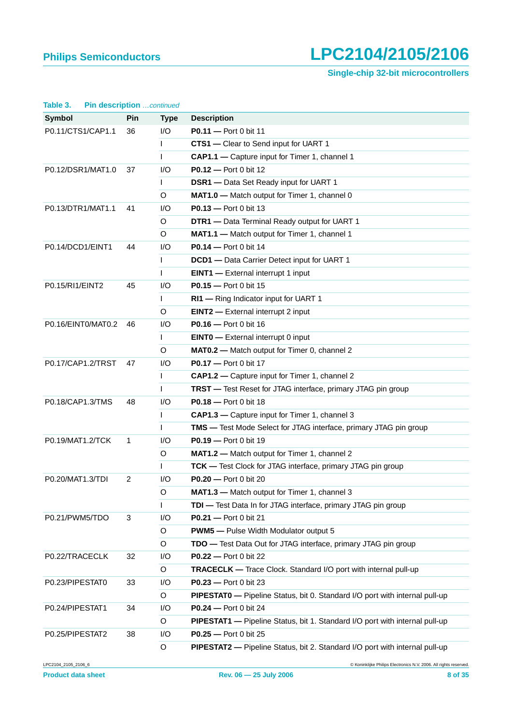**Single-chip 32-bit microcontrollers**

| Pin description continued<br>Table 3. |              |              |                                                                             |
|---------------------------------------|--------------|--------------|-----------------------------------------------------------------------------|
| <b>Symbol</b>                         | <b>Pin</b>   | <b>Type</b>  | <b>Description</b>                                                          |
| P0.11/CTS1/CAP1.1                     | 36           | I/O          | P0.11 - Port 0 bit 11                                                       |
|                                       |              |              | CTS1 - Clear to Send input for UART 1                                       |
|                                       |              | L            | CAP1.1 - Capture input for Timer 1, channel 1                               |
| P0.12/DSR1/MAT1.0                     | 37           | I/O          | <b>P0.12</b> - Port 0 bit 12                                                |
|                                       |              | L            | DSR1 - Data Set Ready input for UART 1                                      |
|                                       |              | O            | MAT1.0 - Match output for Timer 1, channel 0                                |
| P0.13/DTR1/MAT1.1                     | 41           | I/O          | $P0.13 - Port 0 bit 13$                                                     |
|                                       |              | O            | DTR1 - Data Terminal Ready output for UART 1                                |
|                                       |              | O            | MAT1.1 - Match output for Timer 1, channel 1                                |
| P0.14/DCD1/EINT1                      | 44           | I/O          | <b>P0.14</b> - Port 0 bit 14                                                |
|                                       |              |              | <b>DCD1</b> - Data Carrier Detect input for UART 1                          |
|                                       |              | $\mathbf{I}$ | <b>EINT1</b> - External interrupt 1 input                                   |
| P0.15/RI1/EINT2                       | 45           | I/O          | P0.15 - Port 0 bit 15                                                       |
|                                       |              |              | RI1 - Ring Indicator input for UART 1                                       |
|                                       |              | O            | <b>EINT2</b> - External interrupt 2 input                                   |
| P0.16/EINT0/MAT0.2                    | 46           | I/O          | P0.16 - Port 0 bit 16                                                       |
|                                       |              | L            | <b>EINTO</b> - External interrupt 0 input                                   |
|                                       |              | O            | MAT0.2 - Match output for Timer 0, channel 2                                |
| P0.17/CAP1.2/TRST                     | 47           | I/O          | P0.17 - Port 0 bit 17                                                       |
|                                       |              | $\mathbf{I}$ | CAP1.2 - Capture input for Timer 1, channel 2                               |
|                                       |              | L            | TRST - Test Reset for JTAG interface, primary JTAG pin group                |
| P0.18/CAP1.3/TMS                      | 48           | I/O          | <b>P0.18</b> - Port 0 bit 18                                                |
|                                       |              | L            | CAP1.3 - Capture input for Timer 1, channel 3                               |
|                                       |              | $\mathbf{I}$ | <b>TMS</b> — Test Mode Select for JTAG interface, primary JTAG pin group    |
| P0.19/MAT1.2/TCK                      | $\mathbf{1}$ | I/O          | P0.19 - Port 0 bit 19                                                       |
|                                       |              | O            | MAT1.2 - Match output for Timer 1, channel 2                                |
|                                       |              |              | TCK - Test Clock for JTAG interface, primary JTAG pin group                 |
| P0.20/MAT1.3/TDI                      | 2            | I/O          | P0.20 - Port 0 bit 20                                                       |
|                                       |              | O            | MAT1.3 - Match output for Timer 1, channel 3                                |
|                                       |              | L            | TDI - Test Data In for JTAG interface, primary JTAG pin group               |
| P0.21/PWM5/TDO                        | 3            | I/O          | <b>P0.21</b> - Port 0 bit 21                                                |
|                                       |              | O            | <b>PWM5</b> - Pulse Width Modulator output 5                                |
|                                       |              | $\mathsf O$  | TDO - Test Data Out for JTAG interface, primary JTAG pin group              |
| P0.22/TRACECLK                        | 32           | I/O          | <b>P0.22</b> - Port 0 bit 22                                                |
|                                       |              | $\mathsf O$  | <b>TRACECLK</b> - Trace Clock. Standard I/O port with internal pull-up      |
| P0.23/PIPESTAT0                       | 33           | I/O          | P0.23 - Port 0 bit 23                                                       |
|                                       |              | O            | PIPESTATO - Pipeline Status, bit 0. Standard I/O port with internal pull-up |
| P0.24/PIPESTAT1                       | 34           | I/O          | <b>P0.24</b> - Port 0 bit 24                                                |
|                                       |              | $\mathsf O$  | PIPESTAT1 - Pipeline Status, bit 1. Standard I/O port with internal pull-up |
| P0.25/PIPESTAT2                       | 38           | I/O          | <b>P0.25</b> - Port 0 bit 25                                                |
|                                       |              | O            | PIPESTAT2 - Pipeline Status, bit 2. Standard I/O port with internal pull-up |

LPC2104\_2105\_2106\_6 © Koninklijke Philips Electronics N.V. 2006. All rights reserved.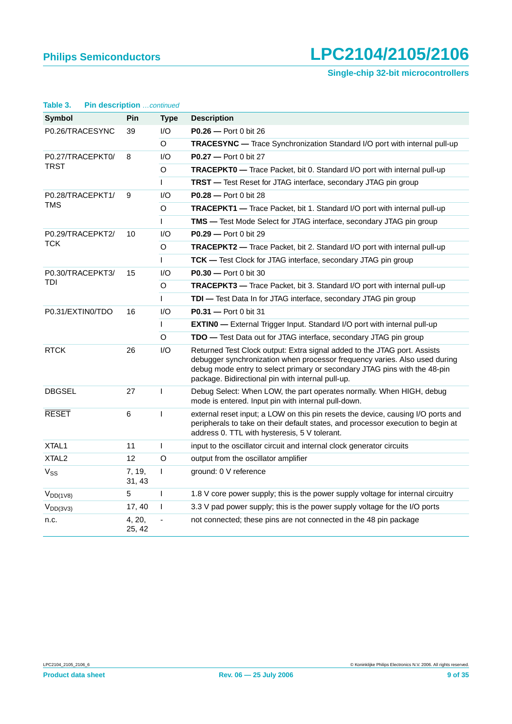**Single-chip 32-bit microcontrollers**

| rable 5.<br><b>PIN GESCRIPTION</b> COMMUTHED |                  |              |                                                                                                                                                                                                                                                                                          |  |  |
|----------------------------------------------|------------------|--------------|------------------------------------------------------------------------------------------------------------------------------------------------------------------------------------------------------------------------------------------------------------------------------------------|--|--|
| Symbol                                       | <b>Pin</b>       | <b>Type</b>  | <b>Description</b>                                                                                                                                                                                                                                                                       |  |  |
| P0.26/TRACESYNC                              | 39               | I/O          | <b>P0.26</b> — Port 0 bit 26                                                                                                                                                                                                                                                             |  |  |
|                                              |                  | $\circ$      | TRACESYNC - Trace Synchronization Standard I/O port with internal pull-up                                                                                                                                                                                                                |  |  |
| P0.27/TRACEPKT0/                             | 8                | 1/O          | <b>P0.27</b> - Port 0 bit 27                                                                                                                                                                                                                                                             |  |  |
| <b>TRST</b>                                  |                  | O            | <b>TRACEPKT0</b> - Trace Packet, bit 0. Standard I/O port with internal pull-up                                                                                                                                                                                                          |  |  |
|                                              |                  | L            | <b>TRST</b> - Test Reset for JTAG interface, secondary JTAG pin group                                                                                                                                                                                                                    |  |  |
| P0.28/TRACEPKT1/                             | 9                | 1/O          | <b>P0.28</b> - Port 0 bit 28                                                                                                                                                                                                                                                             |  |  |
| TMS                                          |                  | O            | <b>TRACEPKT1</b> - Trace Packet, bit 1. Standard I/O port with internal pull-up                                                                                                                                                                                                          |  |  |
|                                              |                  | L            | <b>TMS</b> - Test Mode Select for JTAG interface, secondary JTAG pin group                                                                                                                                                                                                               |  |  |
| P0.29/TRACEPKT2/                             | 10               | I/O          | <b>P0.29</b> — Port 0 bit 29                                                                                                                                                                                                                                                             |  |  |
| <b>TCK</b>                                   |                  | O            | TRACEPKT2 - Trace Packet, bit 2. Standard I/O port with internal pull-up                                                                                                                                                                                                                 |  |  |
|                                              |                  | L            | TCK - Test Clock for JTAG interface, secondary JTAG pin group                                                                                                                                                                                                                            |  |  |
| P0.30/TRACEPKT3/                             | 15               | 1/O          | <b>P0.30</b> - Port 0 bit 30                                                                                                                                                                                                                                                             |  |  |
| TDI                                          |                  | O            | TRACEPKT3 - Trace Packet, bit 3. Standard I/O port with internal pull-up                                                                                                                                                                                                                 |  |  |
|                                              |                  | L            | TDI - Test Data In for JTAG interface, secondary JTAG pin group                                                                                                                                                                                                                          |  |  |
| P0.31/EXTIN0/TDO                             | 16               | 1/O          | <b>P0.31</b> - Port 0 bit 31                                                                                                                                                                                                                                                             |  |  |
|                                              |                  | L            | <b>EXTINO</b> - External Trigger Input. Standard I/O port with internal pull-up                                                                                                                                                                                                          |  |  |
|                                              |                  | O            | TDO - Test Data out for JTAG interface, secondary JTAG pin group                                                                                                                                                                                                                         |  |  |
| <b>RTCK</b>                                  | 26               | 1/O          | Returned Test Clock output: Extra signal added to the JTAG port. Assists<br>debugger synchronization when processor frequency varies. Also used during<br>debug mode entry to select primary or secondary JTAG pins with the 48-pin<br>package. Bidirectional pin with internal pull-up. |  |  |
| <b>DBGSEL</b>                                | 27               | T            | Debug Select: When LOW, the part operates normally. When HIGH, debug<br>mode is entered. Input pin with internal pull-down.                                                                                                                                                              |  |  |
| <b>RESET</b>                                 | 6                | T            | external reset input; a LOW on this pin resets the device, causing I/O ports and<br>peripherals to take on their default states, and processor execution to begin at<br>address 0. TTL with hysteresis, 5 V tolerant.                                                                    |  |  |
| XTAL <sub>1</sub>                            | 11               | L            | input to the oscillator circuit and internal clock generator circuits                                                                                                                                                                                                                    |  |  |
| XTAL <sub>2</sub>                            | 12               | O            | output from the oscillator amplifier                                                                                                                                                                                                                                                     |  |  |
| $V_{SS}$                                     | 7, 19,<br>31, 43 | L            | ground: 0 V reference                                                                                                                                                                                                                                                                    |  |  |
| $V_{DD(1V8)}$                                | 5                | $\mathbf{I}$ | 1.8 V core power supply; this is the power supply voltage for internal circuitry                                                                                                                                                                                                         |  |  |
| $V_{DD(3V3)}$                                | 17, 40           | $\mathbf{I}$ | 3.3 V pad power supply; this is the power supply voltage for the I/O ports                                                                                                                                                                                                               |  |  |
| n.c.                                         | 4, 20,<br>25, 42 |              | not connected; these pins are not connected in the 48 pin package                                                                                                                                                                                                                        |  |  |

### **Table 3. Pin description** continued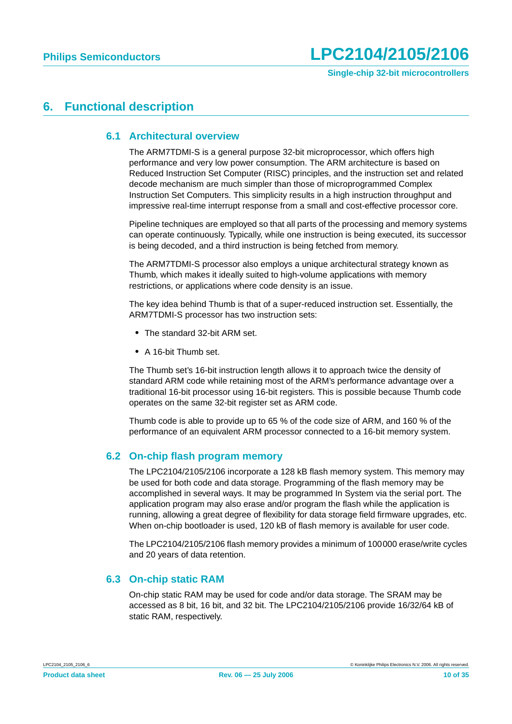## <span id="page-9-1"></span><span id="page-9-0"></span>**6. Functional description**

#### **6.1 Architectural overview**

The ARM7TDMI-S is a general purpose 32-bit microprocessor, which offers high performance and very low power consumption. The ARM architecture is based on Reduced Instruction Set Computer (RISC) principles, and the instruction set and related decode mechanism are much simpler than those of microprogrammed Complex Instruction Set Computers. This simplicity results in a high instruction throughput and impressive real-time interrupt response from a small and cost-effective processor core.

Pipeline techniques are employed so that all parts of the processing and memory systems can operate continuously. Typically, while one instruction is being executed, its successor is being decoded, and a third instruction is being fetched from memory.

The ARM7TDMI-S processor also employs a unique architectural strategy known as Thumb, which makes it ideally suited to high-volume applications with memory restrictions, or applications where code density is an issue.

The key idea behind Thumb is that of a super-reduced instruction set. Essentially, the ARM7TDMI-S processor has two instruction sets:

- **•** The standard 32-bit ARM set.
- **•** A 16-bit Thumb set.

The Thumb set's 16-bit instruction length allows it to approach twice the density of standard ARM code while retaining most of the ARM's performance advantage over a traditional 16-bit processor using 16-bit registers. This is possible because Thumb code operates on the same 32-bit register set as ARM code.

Thumb code is able to provide up to 65 % of the code size of ARM, and 160 % of the performance of an equivalent ARM processor connected to a 16-bit memory system.

### <span id="page-9-2"></span>**6.2 On-chip flash program memory**

The LPC2104/2105/2106 incorporate a 128 kB flash memory system. This memory may be used for both code and data storage. Programming of the flash memory may be accomplished in several ways. It may be programmed In System via the serial port. The application program may also erase and/or program the flash while the application is running, allowing a great degree of flexibility for data storage field firmware upgrades, etc. When on-chip bootloader is used, 120 kB of flash memory is available for user code.

The LPC2104/2105/2106 flash memory provides a minimum of 100000 erase/write cycles and 20 years of data retention.

#### <span id="page-9-3"></span>**6.3 On-chip static RAM**

On-chip static RAM may be used for code and/or data storage. The SRAM may be accessed as 8 bit, 16 bit, and 32 bit. The LPC2104/2105/2106 provide 16/32/64 kB of static RAM, respectively.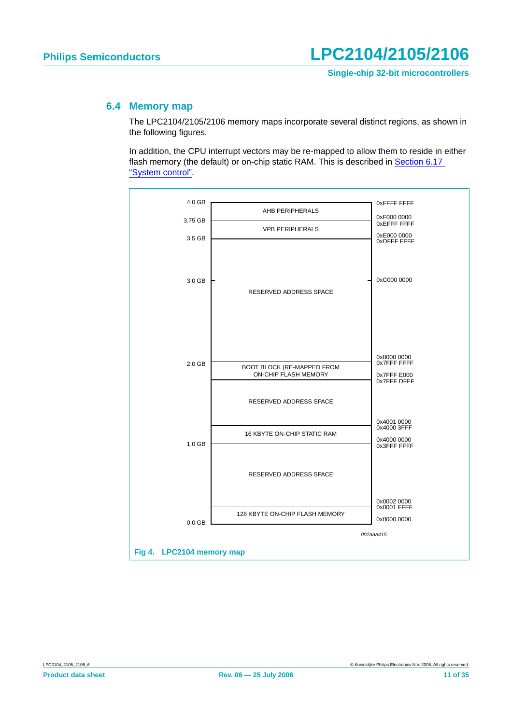#### <span id="page-10-0"></span>**6.4 Memory map**

The LPC2104/2105/2106 memory maps incorporate several distinct regions, as shown in the following figures.

In addition, the CPU interrupt vectors may be re-mapped to allow them to reside in either flash memory (the default) or on-chip static RAM. This is described in [Section 6.17](#page-20-0) ["System control".](#page-20-0)

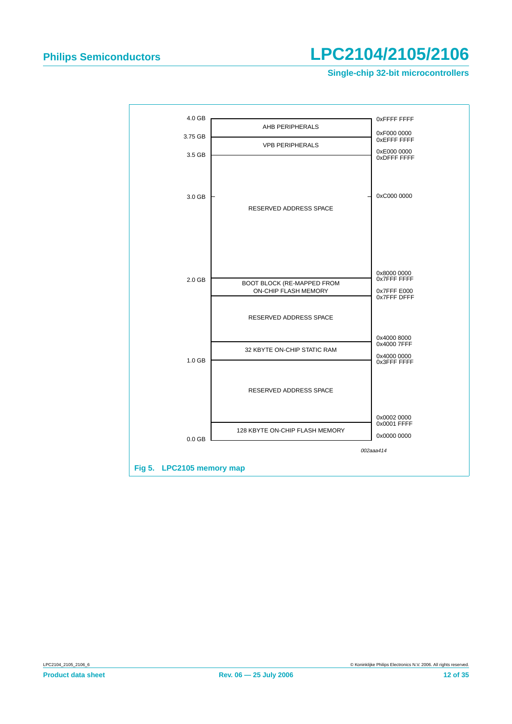**Single-chip 32-bit microcontrollers**

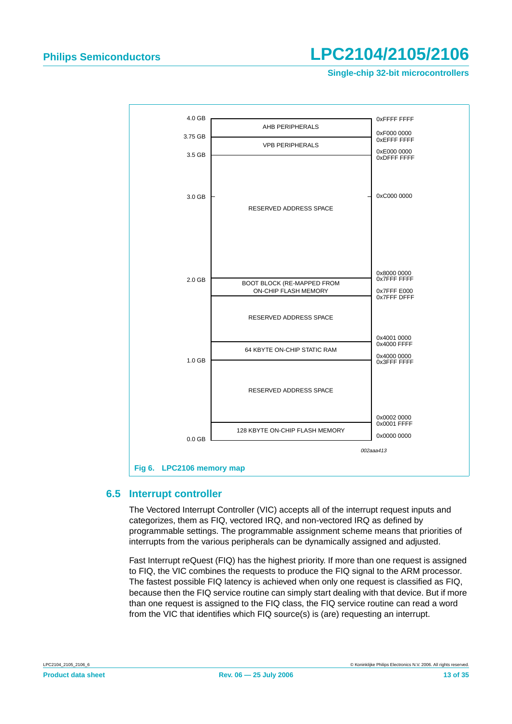**Single-chip 32-bit microcontrollers**



#### <span id="page-12-0"></span>**6.5 Interrupt controller**

The Vectored Interrupt Controller (VIC) accepts all of the interrupt request inputs and categorizes, them as FIQ, vectored IRQ, and non-vectored IRQ as defined by programmable settings. The programmable assignment scheme means that priorities of interrupts from the various peripherals can be dynamically assigned and adjusted.

Fast Interrupt reQuest (FIQ) has the highest priority. If more than one request is assigned to FIQ, the VIC combines the requests to produce the FIQ signal to the ARM processor. The fastest possible FIQ latency is achieved when only one request is classified as FIQ, because then the FIQ service routine can simply start dealing with that device. But if more than one request is assigned to the FIQ class, the FIQ service routine can read a word from the VIC that identifies which FIQ source(s) is (are) requesting an interrupt.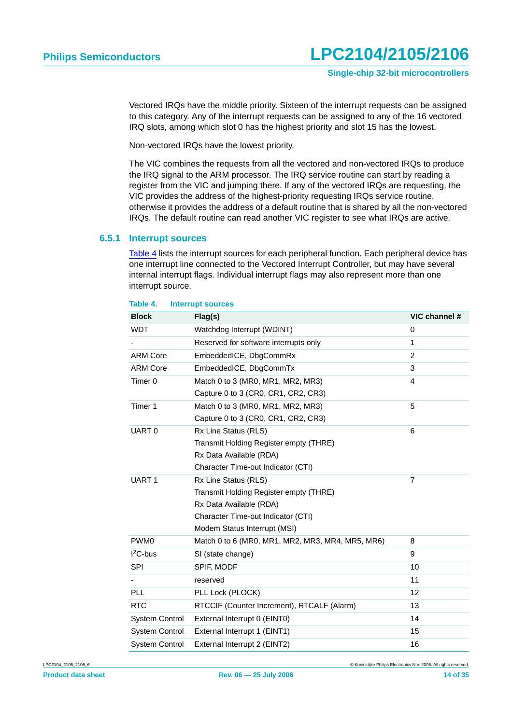Vectored IRQs have the middle priority. Sixteen of the interrupt requests can be assigned to this category. Any of the interrupt requests can be assigned to any of the 16 vectored IRQ slots, among which slot 0 has the highest priority and slot 15 has the lowest.

Non-vectored IRQs have the lowest priority.

The VIC combines the requests from all the vectored and non-vectored IRQs to produce the IRQ signal to the ARM processor. The IRQ service routine can start by reading a register from the VIC and jumping there. If any of the vectored IRQs are requesting, the VIC provides the address of the highest-priority requesting IRQs service routine, otherwise it provides the address of a default routine that is shared by all the non-vectored IRQs. The default routine can read another VIC register to see what IRQs are active.

#### <span id="page-13-1"></span>**6.5.1 Interrupt sources**

[Table](#page-13-0) 4 lists the interrupt sources for each peripheral function. Each peripheral device has one interrupt line connected to the Vectored Interrupt Controller, but may have several internal interrupt flags. Individual interrupt flags may also represent more than one interrupt source.

#### <span id="page-13-0"></span>**Table 4. Interrupt sources**

| <b>Block</b>          | Flag(s)                                          | VIC channel #  |
|-----------------------|--------------------------------------------------|----------------|
| <b>WDT</b>            | Watchdog Interrupt (WDINT)                       | 0              |
|                       | Reserved for software interrupts only            | 1              |
| <b>ARM Core</b>       | EmbeddedICE, DbgCommRx                           | $\overline{2}$ |
| <b>ARM Core</b>       | EmbeddedICE, DbgCommTx                           | 3              |
| Timer <sub>0</sub>    | Match 0 to 3 (MR0, MR1, MR2, MR3)                | 4              |
|                       | Capture 0 to 3 (CR0, CR1, CR2, CR3)              |                |
| Timer 1               | Match 0 to 3 (MR0, MR1, MR2, MR3)                | 5              |
|                       | Capture 0 to 3 (CR0, CR1, CR2, CR3)              |                |
| UART <sub>0</sub>     | Rx Line Status (RLS)                             | 6              |
|                       | Transmit Holding Register empty (THRE)           |                |
|                       | Rx Data Available (RDA)                          |                |
|                       | Character Time-out Indicator (CTI)               |                |
| UART <sub>1</sub>     | Rx Line Status (RLS)                             | $\overline{7}$ |
|                       | Transmit Holding Register empty (THRE)           |                |
|                       | Rx Data Available (RDA)                          |                |
|                       | Character Time-out Indicator (CTI)               |                |
|                       | Modem Status Interrupt (MSI)                     |                |
| PWM <sub>0</sub>      | Match 0 to 6 (MR0, MR1, MR2, MR3, MR4, MR5, MR6) | 8              |
| $12C$ -bus            | SI (state change)                                | 9              |
| <b>SPI</b>            | SPIF, MODF                                       | 10             |
|                       | reserved                                         | 11             |
| PLL                   | PLL Lock (PLOCK)                                 | 12             |
| <b>RTC</b>            | RTCCIF (Counter Increment), RTCALF (Alarm)       | 13             |
| <b>System Control</b> | External Interrupt 0 (EINT0)                     | 14             |
| <b>System Control</b> | External Interrupt 1 (EINT1)                     | 15             |
| <b>System Control</b> | External Interrupt 2 (EINT2)                     | 16             |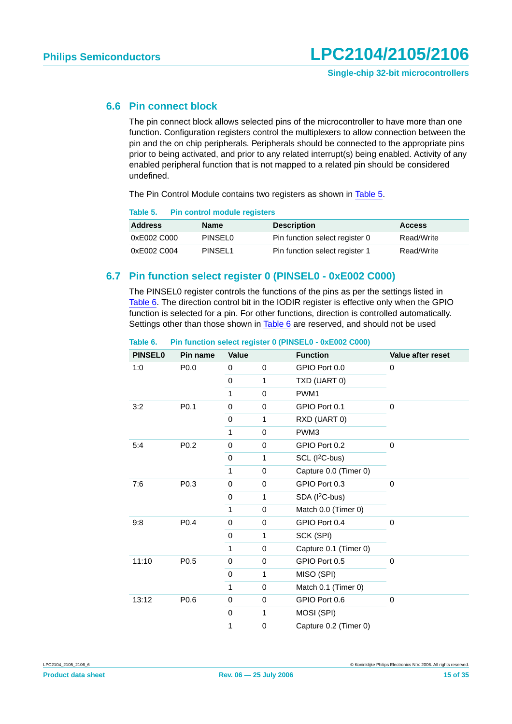#### <span id="page-14-2"></span>**6.6 Pin connect block**

The pin connect block allows selected pins of the microcontroller to have more than one function. Configuration registers control the multiplexers to allow connection between the pin and the on chip peripherals. Peripherals should be connected to the appropriate pins prior to being activated, and prior to any related interrupt(s) being enabled. Activity of any enabled peripheral function that is not mapped to a related pin should be considered undefined.

The Pin Control Module contains two registers as shown in [Table](#page-14-0) 5.

<span id="page-14-0"></span>

| <b>Pin control module registers</b><br>Table 5. |
|-------------------------------------------------|
|-------------------------------------------------|

| <b>Address</b> | <b>Name</b>         | <b>Description</b>             | <b>Access</b> |
|----------------|---------------------|--------------------------------|---------------|
| 0xE002 C000    | <b>PINSELO</b>      | Pin function select register 0 | Read/Write    |
| 0xE002 C004    | PINSEL <sub>1</sub> | Pin function select register 1 | Read/Write    |

#### <span id="page-14-3"></span>**6.7 Pin function select register 0 (PINSEL0 - 0xE002 C000)**

The PINSEL0 register controls the functions of the pins as per the settings listed in [Table](#page-14-1) 6. The direction control bit in the IODIR register is effective only when the GPIO function is selected for a pin. For other functions, direction is controlled automatically. Settings other than those shown in [Table](#page-14-1) 6 are reserved, and should not be used

| <b>PINSEL0</b> | Pin name         | Value        |              | <b>Function</b>            | Value after reset |  |
|----------------|------------------|--------------|--------------|----------------------------|-------------------|--|
| 1:0            | P0.0             | 0            | 0            | GPIO Port 0.0              | 0                 |  |
|                |                  | $\mathbf 0$  | 1            | TXD (UART 0)               |                   |  |
|                |                  | 1            | 0            | PWM1                       |                   |  |
| 3:2            | P <sub>0.1</sub> | $\mathbf 0$  | 0            | GPIO Port 0.1              | 0                 |  |
|                |                  | $\mathbf 0$  | 1            | RXD (UART 0)               |                   |  |
|                |                  | 1            | 0            | PWM3                       |                   |  |
| 5:4            | P0.2             | $\mathbf 0$  | 0            | GPIO Port 0.2              | 0                 |  |
|                |                  | 0            | 1            | SCL (I <sup>2</sup> C-bus) |                   |  |
|                |                  | 1            | 0            | Capture 0.0 (Timer 0)      |                   |  |
| 7:6            | P <sub>0.3</sub> | $\mathbf 0$  | 0            | GPIO Port 0.3              | 0                 |  |
|                |                  | 0            | 1            | SDA (I <sup>2</sup> C-bus) |                   |  |
|                |                  | 1            | 0            | Match 0.0 (Timer 0)        |                   |  |
| 9:8            | P0.4             | $\mathbf 0$  | 0            | GPIO Port 0.4              | 0                 |  |
|                |                  | 0            | 1            | SCK (SPI)                  |                   |  |
|                |                  | 1            | 0            | Capture 0.1 (Timer 0)      |                   |  |
| 11:10          | P <sub>0.5</sub> | $\mathbf 0$  | 0            | GPIO Port 0.5              | 0                 |  |
|                |                  | 0            | 1            | MISO (SPI)                 |                   |  |
|                |                  | $\mathbf{1}$ | 0            | Match 0.1 (Timer 0)        |                   |  |
| 13:12          | P <sub>0.6</sub> | $\mathbf 0$  | 0            | GPIO Port 0.6              | 0                 |  |
|                |                  | $\mathbf 0$  | $\mathbf{1}$ | MOSI (SPI)                 |                   |  |
|                |                  | $\mathbf{1}$ | 0            | Capture 0.2 (Timer 0)      |                   |  |

#### <span id="page-14-1"></span>**Table 6. Pin function select register 0 (PINSEL0 - 0xE002 C000)**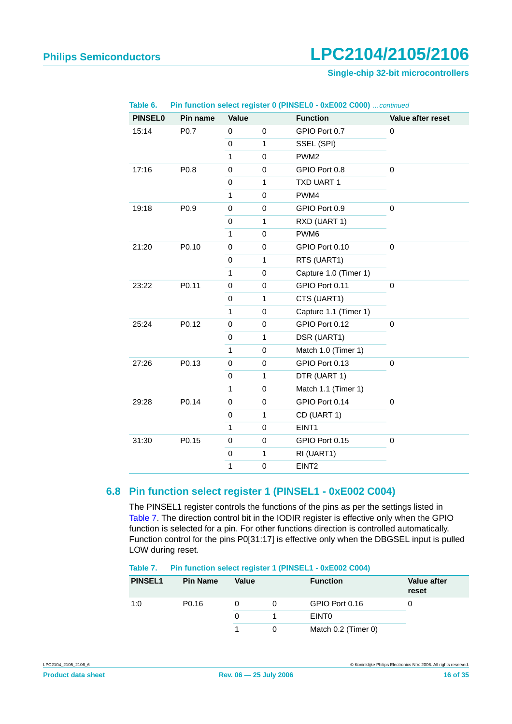#### **Single-chip 32-bit microcontrollers**

| Table 6.       |          | Pin function select register 0 (PINSEL0 - 0xE002 C000)  continued |              |                       |                   |
|----------------|----------|-------------------------------------------------------------------|--------------|-----------------------|-------------------|
| <b>PINSEL0</b> | Pin name | Value                                                             |              | <b>Function</b>       | Value after reset |
| 15:14          | P0.7     | 0                                                                 | 0            | GPIO Port 0.7         | 0                 |
|                |          | $\mathbf 0$                                                       | $\mathbf{1}$ | SSEL (SPI)            |                   |
|                |          | $\mathbf{1}$                                                      | 0            | PWM <sub>2</sub>      |                   |
| 17:16          | P0.8     | 0                                                                 | 0            | GPIO Port 0.8         | 0                 |
|                |          | 0                                                                 | $\mathbf{1}$ | TXD UART 1            |                   |
|                |          | $\mathbf{1}$                                                      | 0            | PWM4                  |                   |
| 19:18          | P0.9     | 0                                                                 | 0            | GPIO Port 0.9         | 0                 |
|                |          | 0                                                                 | $\mathbf{1}$ | RXD (UART 1)          |                   |
|                |          | $\mathbf{1}$                                                      | 0            | PWM6                  |                   |
| 21:20          | P0.10    | 0                                                                 | 0            | GPIO Port 0.10        | 0                 |
|                |          | $\mathsf 0$                                                       | $\mathbf{1}$ | RTS (UART1)           |                   |
|                |          | $\mathbf{1}$                                                      | 0            | Capture 1.0 (Timer 1) |                   |
| 23:22          | P0.11    | 0                                                                 | 0            | GPIO Port 0.11        | 0                 |
|                |          | $\mathbf 0$                                                       | $\mathbf{1}$ | CTS (UART1)           |                   |
|                |          | $\mathbf{1}$                                                      | 0            | Capture 1.1 (Timer 1) |                   |
| 25:24          | P0.12    | $\mathsf 0$                                                       | 0            | GPIO Port 0.12        | 0                 |
|                |          | 0                                                                 | $\mathbf{1}$ | DSR (UART1)           |                   |
|                |          | $\mathbf{1}$                                                      | 0            | Match 1.0 (Timer 1)   |                   |
| 27:26          | P0.13    | $\mathbf 0$                                                       | 0            | GPIO Port 0.13        | 0                 |
|                |          | 0                                                                 | $\mathbf{1}$ | DTR (UART 1)          |                   |
|                |          | $\mathbf{1}$                                                      | 0            | Match 1.1 (Timer 1)   |                   |
| 29:28          | P0.14    | 0                                                                 | 0            | GPIO Port 0.14        | 0                 |
|                |          | 0                                                                 | $\mathbf{1}$ | CD (UART 1)           |                   |
|                |          | $\mathbf{1}$                                                      | 0            | EINT1                 |                   |
| 31:30          | P0.15    | $\mathbf 0$                                                       | 0            | GPIO Port 0.15        | 0                 |
|                |          | $\mathbf 0$                                                       | 1            | RI (UART1)            |                   |
|                |          | 1                                                                 | 0            | EINT <sub>2</sub>     |                   |
|                |          |                                                                   |              |                       |                   |

#### <span id="page-15-2"></span>**6.8 Pin function select register 1 (PINSEL1 - 0xE002 C004)**

<span id="page-15-0"></span>The PINSEL1 register controls the functions of the pins as per the settings listed in [Table](#page-15-1) 7. The direction control bit in the IODIR register is effective only when the GPIO function is selected for a pin. For other functions direction is controlled automatically. Function control for the pins P0[31:17] is effective only when the DBGSEL input is pulled LOW during reset.

| <b>PINSEL1</b> | <b>Pin Name</b>   | <b>Value</b> | <b>Function</b>     | <b>Value after</b><br>reset |
|----------------|-------------------|--------------|---------------------|-----------------------------|
| 1:0            | P <sub>0.16</sub> |              | GPIO Port 0.16      |                             |
|                |                   | 0            | <b>EINTO</b>        |                             |
|                |                   |              | Match 0.2 (Timer 0) |                             |

#### <span id="page-15-1"></span>**Table 7. Pin function select register 1 (PINSEL1 - 0xE002 C004)**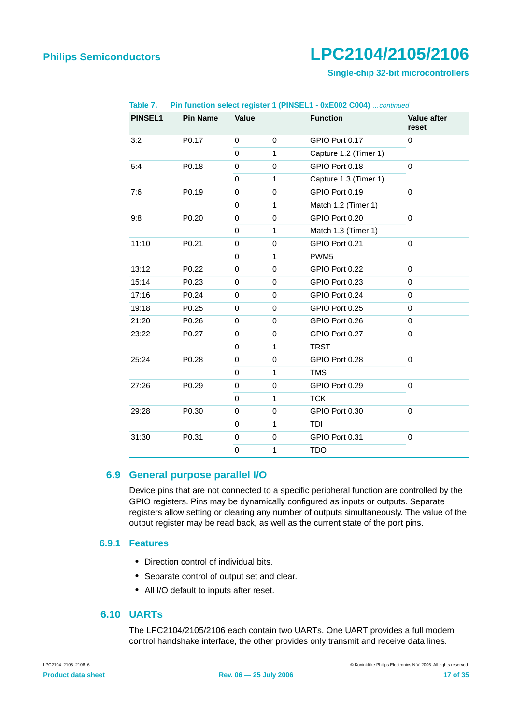#### **Single-chip 32-bit microcontrollers**

| <b>PINSEL1</b> | <b>Pin Name</b>   | Value       |              | <b>Function</b>       | <b>Value after</b><br>reset |
|----------------|-------------------|-------------|--------------|-----------------------|-----------------------------|
| 3:2            | P0.17             | $\mathbf 0$ | $\mathbf 0$  | GPIO Port 0.17        | 0                           |
|                |                   | $\mathbf 0$ | $\mathbf{1}$ | Capture 1.2 (Timer 1) |                             |
| 5:4            | P0.18             | 0           | $\pmb{0}$    | GPIO Port 0.18        | 0                           |
|                |                   | 0           | $\mathbf{1}$ | Capture 1.3 (Timer 1) |                             |
| 7:6            | P0.19             | $\mathbf 0$ | $\mathbf 0$  | GPIO Port 0.19        | 0                           |
|                |                   | 0           | 1            | Match 1.2 (Timer 1)   |                             |
| 9:8            | P <sub>0.20</sub> | 0           | 0            | GPIO Port 0.20        | 0                           |
|                |                   | $\mathbf 0$ | $\mathbf{1}$ | Match 1.3 (Timer 1)   |                             |
| 11:10          | P0.21             | $\mathbf 0$ | $\mathbf 0$  | GPIO Port 0.21        | 0                           |
|                |                   | $\mathbf 0$ | $\mathbf{1}$ | PWM <sub>5</sub>      |                             |
| 13:12          | P <sub>0.22</sub> | 0           | $\mathbf 0$  | GPIO Port 0.22        | 0                           |
| 15:14          | P0.23             | 0           | $\mathbf 0$  | GPIO Port 0.23        | 0                           |
| 17:16          | P0.24             | $\mathbf 0$ | $\mathbf 0$  | GPIO Port 0.24        | 0                           |
| 19:18          | P0.25             | 0           | $\mathbf 0$  | GPIO Port 0.25        | 0                           |
| 21:20          | P0.26             | 0           | $\mathbf 0$  | GPIO Port 0.26        | 0                           |
| 23:22          | P0.27             | 0           | $\mathbf 0$  | GPIO Port 0.27        | 0                           |
|                |                   | $\mathbf 0$ | 1            | <b>TRST</b>           |                             |
| 25:24          | P <sub>0.28</sub> | $\mathbf 0$ | $\mathbf 0$  | GPIO Port 0.28        | 0                           |
|                |                   | $\mathbf 0$ | $\mathbf{1}$ | <b>TMS</b>            |                             |
| 27:26          | P0.29             | 0           | $\mathbf 0$  | GPIO Port 0.29        | 0                           |
|                |                   | $\Omega$    | 1            | <b>TCK</b>            |                             |
| 29:28          | P0.30             | $\mathbf 0$ | $\mathbf 0$  | GPIO Port 0.30        | 0                           |
|                |                   | $\mathbf 0$ | $\mathbf{1}$ | <b>TDI</b>            |                             |
| 31:30          | P0.31             | $\mathbf 0$ | $\mathbf 0$  | GPIO Port 0.31        | 0                           |
|                |                   | $\mathbf 0$ | 1            | <b>TDO</b>            |                             |

**Table 7. Pin function select register 1 (PINSEL1 - 0xE002 C004)** …continued

#### <span id="page-16-0"></span>**6.9 General purpose parallel I/O**

Device pins that are not connected to a specific peripheral function are controlled by the GPIO registers. Pins may be dynamically configured as inputs or outputs. Separate registers allow setting or clearing any number of outputs simultaneously. The value of the output register may be read back, as well as the current state of the port pins.

#### <span id="page-16-1"></span>**6.9.1 Features**

- **•** Direction control of individual bits.
- **•** Separate control of output set and clear.
- **•** All I/O default to inputs after reset.

#### <span id="page-16-2"></span>**6.10 UARTs**

The LPC2104/2105/2106 each contain two UARTs. One UART provides a full modem control handshake interface, the other provides only transmit and receive data lines.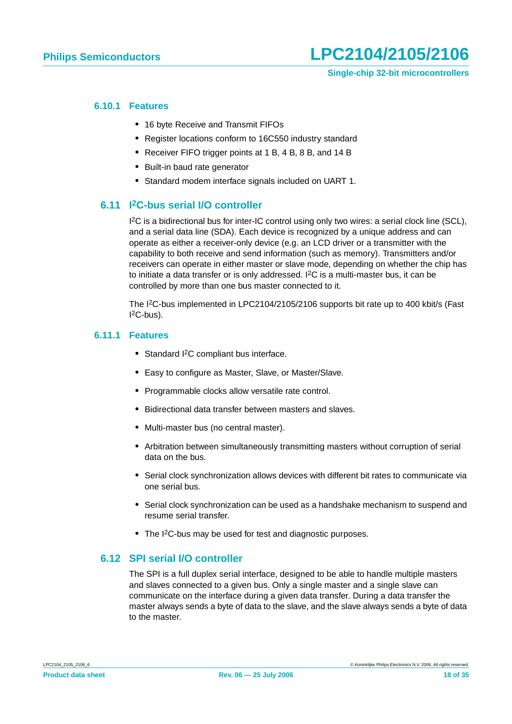#### <span id="page-17-0"></span>**6.10.1 Features**

- **•** 16 byte Receive and Transmit FIFOs
- **•** Register locations conform to 16C550 industry standard
- **•** Receiver FIFO trigger points at 1 B, 4 B, 8 B, and 14 B
- **•** Built-in baud rate generator
- **•** Standard modem interface signals included on UART 1.

#### <span id="page-17-1"></span>**6.11 I2C-bus serial I/O controller**

1<sup>2</sup>C is a bidirectional bus for inter-IC control using only two wires: a serial clock line (SCL), and a serial data line (SDA). Each device is recognized by a unique address and can operate as either a receiver-only device (e.g. an LCD driver or a transmitter with the capability to both receive and send information (such as memory). Transmitters and/or receivers can operate in either master or slave mode, depending on whether the chip has to initiate a data transfer or is only addressed.  ${}^{12}C$  is a multi-master bus, it can be controlled by more than one bus master connected to it.

The I2C-bus implemented in LPC2104/2105/2106 supports bit rate up to 400 kbit/s (Fast  $l^2C$ -bus).

#### <span id="page-17-2"></span>**6.11.1 Features**

- **•** Standard I2C compliant bus interface.
- **•** Easy to configure as Master, Slave, or Master/Slave.
- **•** Programmable clocks allow versatile rate control.
- **•** Bidirectional data transfer between masters and slaves.
- **•** Multi-master bus (no central master).
- **•** Arbitration between simultaneously transmitting masters without corruption of serial data on the bus.
- **•** Serial clock synchronization allows devices with different bit rates to communicate via one serial bus.
- **•** Serial clock synchronization can be used as a handshake mechanism to suspend and resume serial transfer.
- The I<sup>2</sup>C-bus may be used for test and diagnostic purposes.

#### <span id="page-17-3"></span>**6.12 SPI serial I/O controller**

The SPI is a full duplex serial interface, designed to be able to handle multiple masters and slaves connected to a given bus. Only a single master and a single slave can communicate on the interface during a given data transfer. During a data transfer the master always sends a byte of data to the slave, and the slave always sends a byte of data to the master.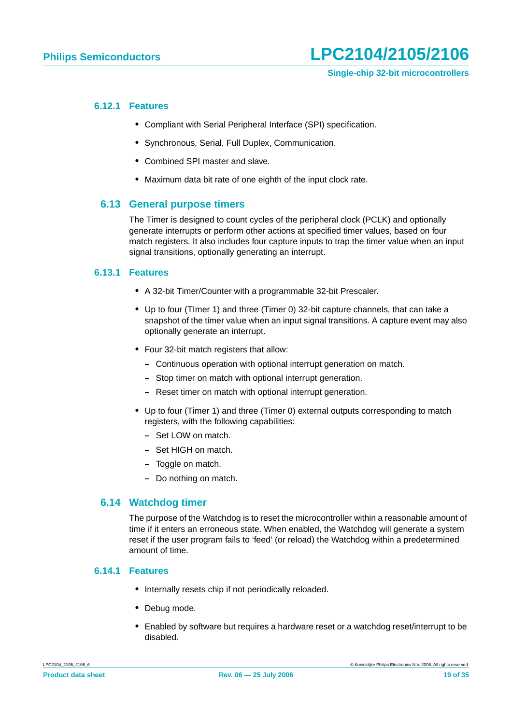#### <span id="page-18-0"></span>**6.12.1 Features**

- **•** Compliant with Serial Peripheral Interface (SPI) specification.
- **•** Synchronous, Serial, Full Duplex, Communication.
- **•** Combined SPI master and slave.
- **•** Maximum data bit rate of one eighth of the input clock rate.

#### <span id="page-18-1"></span>**6.13 General purpose timers**

The Timer is designed to count cycles of the peripheral clock (PCLK) and optionally generate interrupts or perform other actions at specified timer values, based on four match registers. It also includes four capture inputs to trap the timer value when an input signal transitions, optionally generating an interrupt.

#### <span id="page-18-2"></span>**6.13.1 Features**

- **•** A 32-bit Timer/Counter with a programmable 32-bit Prescaler.
- **•** Up to four (TImer 1) and three (Timer 0) 32-bit capture channels, that can take a snapshot of the timer value when an input signal transitions. A capture event may also optionally generate an interrupt.
- **•** Four 32-bit match registers that allow:
	- **–** Continuous operation with optional interrupt generation on match.
	- **–** Stop timer on match with optional interrupt generation.
	- **–** Reset timer on match with optional interrupt generation.
- **•** Up to four (Timer 1) and three (Timer 0) external outputs corresponding to match registers, with the following capabilities:
	- **–** Set LOW on match.
	- **–** Set HIGH on match.
	- **–** Toggle on match.
	- **–** Do nothing on match.

#### <span id="page-18-3"></span>**6.14 Watchdog timer**

The purpose of the Watchdog is to reset the microcontroller within a reasonable amount of time if it enters an erroneous state. When enabled, the Watchdog will generate a system reset if the user program fails to 'feed' (or reload) the Watchdog within a predetermined amount of time.

#### <span id="page-18-4"></span>**6.14.1 Features**

- **•** Internally resets chip if not periodically reloaded.
- **•** Debug mode.
- **•** Enabled by software but requires a hardware reset or a watchdog reset/interrupt to be disabled.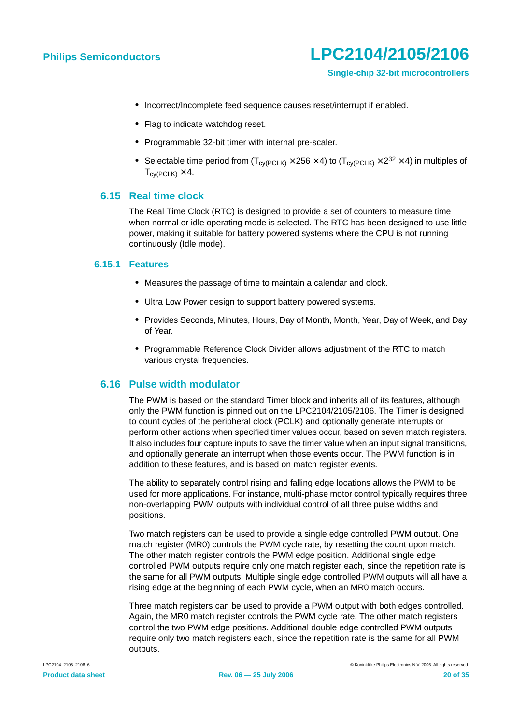- **•** Incorrect/Incomplete feed sequence causes reset/interrupt if enabled.
- **•** Flag to indicate watchdog reset.
- **•** Programmable 32-bit timer with internal pre-scaler.
- Selectable time period from  $(T_{\text{cv(PCLK)}} \times 256 \times 4)$  to  $(T_{\text{cv(PCLK)}} \times 2^{32} \times 4)$  in multiples of  $T_{\text{c}V}$ (PCLK)  $\times$  4.

#### <span id="page-19-0"></span>**6.15 Real time clock**

The Real Time Clock (RTC) is designed to provide a set of counters to measure time when normal or idle operating mode is selected. The RTC has been designed to use little power, making it suitable for battery powered systems where the CPU is not running continuously (Idle mode).

#### <span id="page-19-1"></span>**6.15.1 Features**

- **•** Measures the passage of time to maintain a calendar and clock.
- **•** Ultra Low Power design to support battery powered systems.
- **•** Provides Seconds, Minutes, Hours, Day of Month, Month, Year, Day of Week, and Day of Year.
- **•** Programmable Reference Clock Divider allows adjustment of the RTC to match various crystal frequencies.

#### <span id="page-19-2"></span>**6.16 Pulse width modulator**

The PWM is based on the standard Timer block and inherits all of its features, although only the PWM function is pinned out on the LPC2104/2105/2106. The Timer is designed to count cycles of the peripheral clock (PCLK) and optionally generate interrupts or perform other actions when specified timer values occur, based on seven match registers. It also includes four capture inputs to save the timer value when an input signal transitions, and optionally generate an interrupt when those events occur. The PWM function is in addition to these features, and is based on match register events.

The ability to separately control rising and falling edge locations allows the PWM to be used for more applications. For instance, multi-phase motor control typically requires three non-overlapping PWM outputs with individual control of all three pulse widths and positions.

Two match registers can be used to provide a single edge controlled PWM output. One match register (MR0) controls the PWM cycle rate, by resetting the count upon match. The other match register controls the PWM edge position. Additional single edge controlled PWM outputs require only one match register each, since the repetition rate is the same for all PWM outputs. Multiple single edge controlled PWM outputs will all have a rising edge at the beginning of each PWM cycle, when an MR0 match occurs.

Three match registers can be used to provide a PWM output with both edges controlled. Again, the MR0 match register controls the PWM cycle rate. The other match registers control the two PWM edge positions. Additional double edge controlled PWM outputs require only two match registers each, since the repetition rate is the same for all PWM outputs.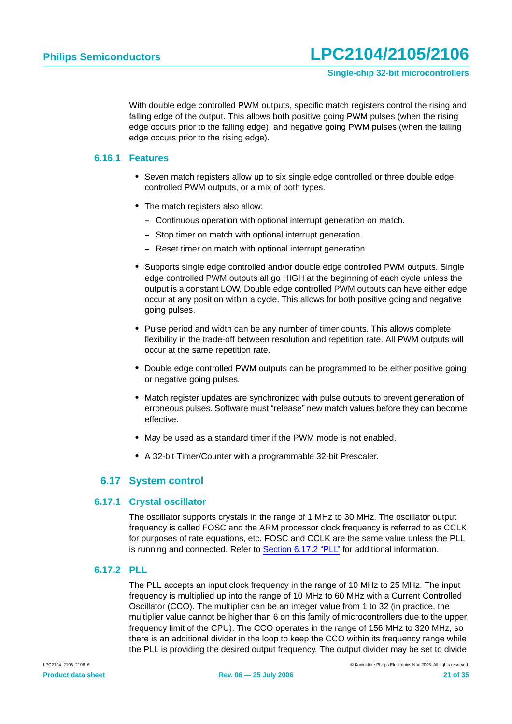With double edge controlled PWM outputs, specific match registers control the rising and falling edge of the output. This allows both positive going PWM pulses (when the rising edge occurs prior to the falling edge), and negative going PWM pulses (when the falling edge occurs prior to the rising edge).

#### <span id="page-20-2"></span>**6.16.1 Features**

- **•** Seven match registers allow up to six single edge controlled or three double edge controlled PWM outputs, or a mix of both types.
- The match registers also allow:
	- **–** Continuous operation with optional interrupt generation on match.
	- **–** Stop timer on match with optional interrupt generation.
	- **–** Reset timer on match with optional interrupt generation.
- **•** Supports single edge controlled and/or double edge controlled PWM outputs. Single edge controlled PWM outputs all go HIGH at the beginning of each cycle unless the output is a constant LOW. Double edge controlled PWM outputs can have either edge occur at any position within a cycle. This allows for both positive going and negative going pulses.
- **•** Pulse period and width can be any number of timer counts. This allows complete flexibility in the trade-off between resolution and repetition rate. All PWM outputs will occur at the same repetition rate.
- **•** Double edge controlled PWM outputs can be programmed to be either positive going or negative going pulses.
- **•** Match register updates are synchronized with pulse outputs to prevent generation of erroneous pulses. Software must "release" new match values before they can become effective.
- **•** May be used as a standard timer if the PWM mode is not enabled.
- **•** A 32-bit Timer/Counter with a programmable 32-bit Prescaler.

#### **6.17 System control**

#### <span id="page-20-3"></span><span id="page-20-0"></span>**6.17.1 Crystal oscillator**

The oscillator supports crystals in the range of 1 MHz to 30 MHz. The oscillator output frequency is called FOSC and the ARM processor clock frequency is referred to as CCLK for purposes of rate equations, etc. FOSC and CCLK are the same value unless the PLL is running and connected. Refer to [Section 6.17.2 "PLL"](#page-20-1) for additional information.

#### <span id="page-20-1"></span>**6.17.2 PLL**

The PLL accepts an input clock frequency in the range of 10 MHz to 25 MHz. The input frequency is multiplied up into the range of 10 MHz to 60 MHz with a Current Controlled Oscillator (CCO). The multiplier can be an integer value from 1 to 32 (in practice, the multiplier value cannot be higher than 6 on this family of microcontrollers due to the upper frequency limit of the CPU). The CCO operates in the range of 156 MHz to 320 MHz, so there is an additional divider in the loop to keep the CCO within its frequency range while the PLL is providing the desired output frequency. The output divider may be set to divide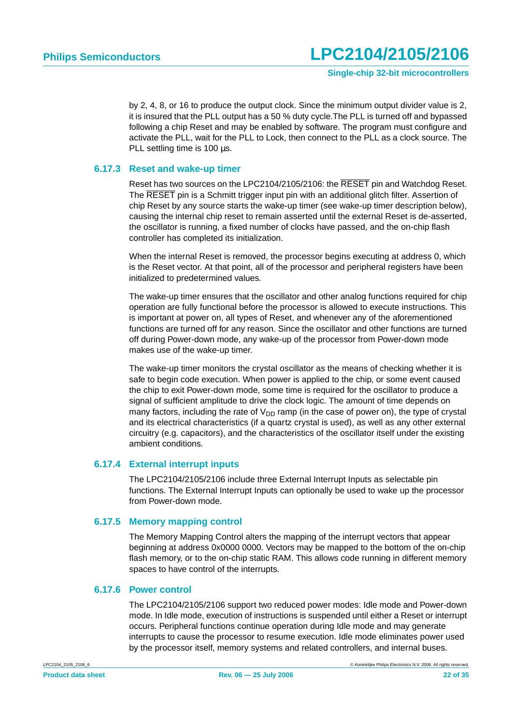by 2, 4, 8, or 16 to produce the output clock. Since the minimum output divider value is 2, it is insured that the PLL output has a 50 % duty cycle.The PLL is turned off and bypassed following a chip Reset and may be enabled by software. The program must configure and activate the PLL, wait for the PLL to Lock, then connect to the PLL as a clock source. The PLL settling time is 100 us.

#### <span id="page-21-0"></span>**6.17.3 Reset and wake-up timer**

Reset has two sources on the LPC2104/2105/2106: the RESET pin and Watchdog Reset. The RESET pin is a Schmitt trigger input pin with an additional glitch filter. Assertion of chip Reset by any source starts the wake-up timer (see wake-up timer description below), causing the internal chip reset to remain asserted until the external Reset is de-asserted, the oscillator is running, a fixed number of clocks have passed, and the on-chip flash controller has completed its initialization.

When the internal Reset is removed, the processor begins executing at address 0, which is the Reset vector. At that point, all of the processor and peripheral registers have been initialized to predetermined values.

The wake-up timer ensures that the oscillator and other analog functions required for chip operation are fully functional before the processor is allowed to execute instructions. This is important at power on, all types of Reset, and whenever any of the aforementioned functions are turned off for any reason. Since the oscillator and other functions are turned off during Power-down mode, any wake-up of the processor from Power-down mode makes use of the wake-up timer.

The wake-up timer monitors the crystal oscillator as the means of checking whether it is safe to begin code execution. When power is applied to the chip, or some event caused the chip to exit Power-down mode, some time is required for the oscillator to produce a signal of sufficient amplitude to drive the clock logic. The amount of time depends on many factors, including the rate of  $V_{DD}$  ramp (in the case of power on), the type of crystal and its electrical characteristics (if a quartz crystal is used), as well as any other external circuitry (e.g. capacitors), and the characteristics of the oscillator itself under the existing ambient conditions.

#### <span id="page-21-1"></span>**6.17.4 External interrupt inputs**

The LPC2104/2105/2106 include three External Interrupt Inputs as selectable pin functions. The External Interrupt Inputs can optionally be used to wake up the processor from Power-down mode.

#### <span id="page-21-2"></span>**6.17.5 Memory mapping control**

The Memory Mapping Control alters the mapping of the interrupt vectors that appear beginning at address 0x0000 0000. Vectors may be mapped to the bottom of the on-chip flash memory, or to the on-chip static RAM. This allows code running in different memory spaces to have control of the interrupts.

#### <span id="page-21-3"></span>**6.17.6 Power control**

The LPC2104/2105/2106 support two reduced power modes: Idle mode and Power-down mode. In Idle mode, execution of instructions is suspended until either a Reset or interrupt occurs. Peripheral functions continue operation during Idle mode and may generate interrupts to cause the processor to resume execution. Idle mode eliminates power used by the processor itself, memory systems and related controllers, and internal buses.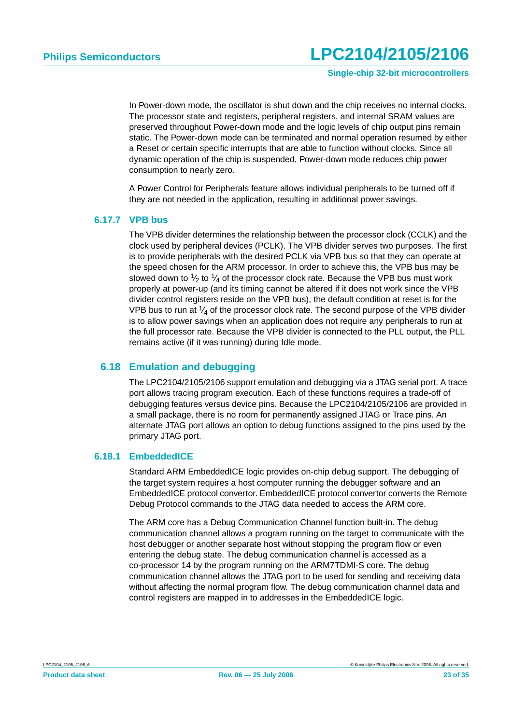**Single-chip 32-bit microcontrollers**

In Power-down mode, the oscillator is shut down and the chip receives no internal clocks. The processor state and registers, peripheral registers, and internal SRAM values are preserved throughout Power-down mode and the logic levels of chip output pins remain static. The Power-down mode can be terminated and normal operation resumed by either a Reset or certain specific interrupts that are able to function without clocks. Since all dynamic operation of the chip is suspended, Power-down mode reduces chip power consumption to nearly zero.

A Power Control for Peripherals feature allows individual peripherals to be turned off if they are not needed in the application, resulting in additional power savings.

#### <span id="page-22-0"></span>**6.17.7 VPB bus**

The VPB divider determines the relationship between the processor clock (CCLK) and the clock used by peripheral devices (PCLK). The VPB divider serves two purposes. The first is to provide peripherals with the desired PCLK via VPB bus so that they can operate at the speed chosen for the ARM processor. In order to achieve this, the VPB bus may be slowed down to  $\frac{1}{2}$  to  $\frac{1}{4}$  of the processor clock rate. Because the VPB bus must work properly at power-up (and its timing cannot be altered if it does not work since the VPB divider control registers reside on the VPB bus), the default condition at reset is for the VPB bus to run at  $\frac{1}{4}$  of the processor clock rate. The second purpose of the VPB divider is to allow power savings when an application does not require any peripherals to run at the full processor rate. Because the VPB divider is connected to the PLL output, the PLL remains active (if it was running) during Idle mode.

#### <span id="page-22-1"></span>**6.18 Emulation and debugging**

The LPC2104/2105/2106 support emulation and debugging via a JTAG serial port. A trace port allows tracing program execution. Each of these functions requires a trade-off of debugging features versus device pins. Because the LPC2104/2105/2106 are provided in a small package, there is no room for permanently assigned JTAG or Trace pins. An alternate JTAG port allows an option to debug functions assigned to the pins used by the primary JTAG port.

#### <span id="page-22-2"></span>**6.18.1 EmbeddedICE**

Standard ARM EmbeddedICE logic provides on-chip debug support. The debugging of the target system requires a host computer running the debugger software and an EmbeddedICE protocol convertor. EmbeddedICE protocol convertor converts the Remote Debug Protocol commands to the JTAG data needed to access the ARM core.

The ARM core has a Debug Communication Channel function built-in. The debug communication channel allows a program running on the target to communicate with the host debugger or another separate host without stopping the program flow or even entering the debug state. The debug communication channel is accessed as a co-processor 14 by the program running on the ARM7TDMI-S core. The debug communication channel allows the JTAG port to be used for sending and receiving data without affecting the normal program flow. The debug communication channel data and control registers are mapped in to addresses in the EmbeddedICE logic.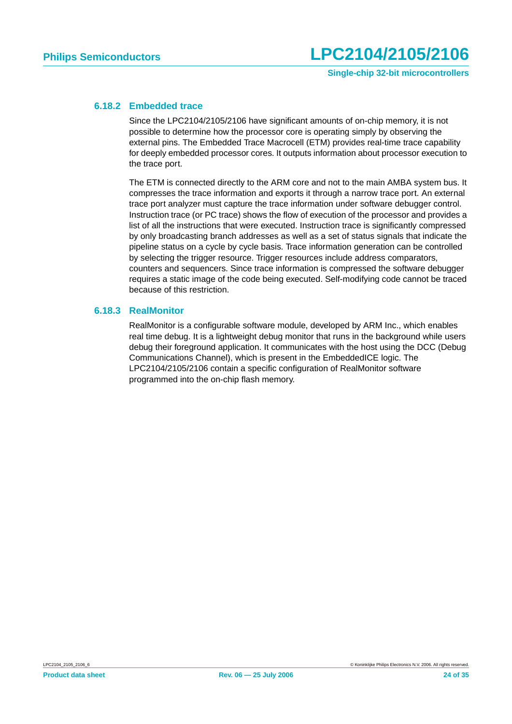#### <span id="page-23-0"></span>**6.18.2 Embedded trace**

Since the LPC2104/2105/2106 have significant amounts of on-chip memory, it is not possible to determine how the processor core is operating simply by observing the external pins. The Embedded Trace Macrocell (ETM) provides real-time trace capability for deeply embedded processor cores. It outputs information about processor execution to the trace port.

The ETM is connected directly to the ARM core and not to the main AMBA system bus. It compresses the trace information and exports it through a narrow trace port. An external trace port analyzer must capture the trace information under software debugger control. Instruction trace (or PC trace) shows the flow of execution of the processor and provides a list of all the instructions that were executed. Instruction trace is significantly compressed by only broadcasting branch addresses as well as a set of status signals that indicate the pipeline status on a cycle by cycle basis. Trace information generation can be controlled by selecting the trigger resource. Trigger resources include address comparators, counters and sequencers. Since trace information is compressed the software debugger requires a static image of the code being executed. Self-modifying code cannot be traced because of this restriction.

#### <span id="page-23-1"></span>**6.18.3 RealMonitor**

RealMonitor is a configurable software module, developed by ARM Inc., which enables real time debug. It is a lightweight debug monitor that runs in the background while users debug their foreground application. It communicates with the host using the DCC (Debug Communications Channel), which is present in the EmbeddedICE logic. The LPC2104/2105/2106 contain a specific configuration of RealMonitor software programmed into the on-chip flash memory.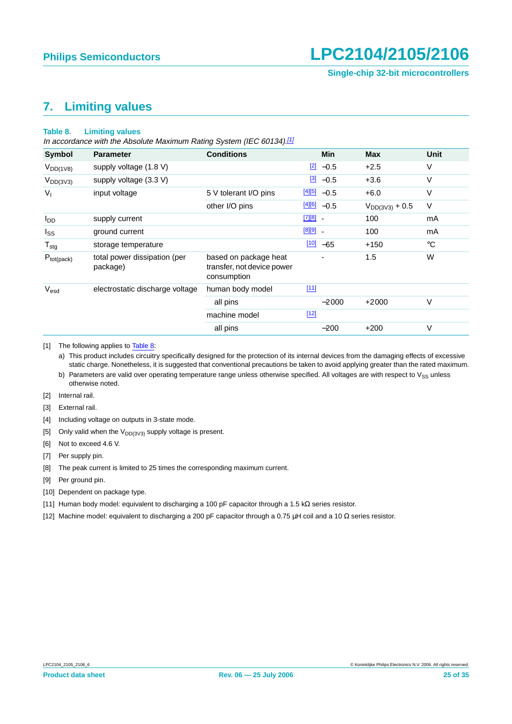## <span id="page-24-13"></span>**7. Limiting values**

#### <span id="page-24-12"></span>**Table 8. Limiting values**

In accordance with the Absolute Maximum Rating System (IEC 60134).[\[1\]](#page-24-0)

| <b>Symbol</b>    | <b>Parameter</b>                         | <b>Conditions</b>                                                  |              | <b>Min</b>                | <b>Max</b>          | Unit        |
|------------------|------------------------------------------|--------------------------------------------------------------------|--------------|---------------------------|---------------------|-------------|
| $V_{DD(1V8)}$    | supply voltage (1.8 V)                   |                                                                    |              | $\boxed{2}$ -0.5          | $+2.5$              | $\vee$      |
| $V_{DD(3V3)}$    | supply voltage (3.3 V)                   |                                                                    |              | $\frac{3}{2}$ -0.5        | $+3.6$              | $\vee$      |
| $V_{I}$          | input voltage                            | 5 V tolerant I/O pins                                              |              | $\frac{[4][5]}{[6]}$ -0.5 | $+6.0$              | $\vee$      |
|                  |                                          | other I/O pins                                                     |              | $\frac{[4][6]}{2}$ -0.5   | $V_{DD(3V3)} + 0.5$ | V           |
| l <sub>DD</sub>  | supply current                           |                                                                    | $[7][8]$ $-$ |                           | 100                 | mA          |
| $I_{SS}$         | ground current                           |                                                                    | $[8][9]$ $-$ |                           | 100                 | mA          |
| $T_{\text{stg}}$ | storage temperature                      |                                                                    |              | $100 - 65$                | $+150$              | $^{\circ}C$ |
| $P_{tot(pack)}$  | total power dissipation (per<br>package) | based on package heat<br>transfer, not device power<br>consumption |              |                           | 1.5                 | W           |
| V <sub>esd</sub> | electrostatic discharge voltage          | human body model                                                   | $[11]$       |                           |                     |             |
|                  |                                          | all pins                                                           |              | $-2000$                   | $+2000$             | $\vee$      |
|                  |                                          | machine model                                                      | $[12]$       |                           |                     |             |
|                  |                                          | all pins                                                           |              | $-200$                    | $+200$              | V           |

#### <span id="page-24-0"></span>[1] The following applies to [Table](#page-24-12) 8:

a) This product includes circuitry specifically designed for the protection of its internal devices from the damaging effects of excessive static charge. Nonetheless, it is suggested that conventional precautions be taken to avoid applying greater than the rated maximum.

- b) Parameters are valid over operating temperature range unless otherwise specified. All voltages are with respect to  $V_{SS}$  unless otherwise noted.
- <span id="page-24-1"></span>[2] Internal rail.

<span id="page-24-2"></span>[3] External rail.

- <span id="page-24-3"></span>[4] Including voltage on outputs in 3-state mode.
- <span id="page-24-4"></span>[5] Only valid when the  $V_{DD(3\vee3)}$  supply voltage is present.
- <span id="page-24-5"></span>[6] Not to exceed 4.6 V.
- <span id="page-24-6"></span>[7] Per supply pin.
- <span id="page-24-7"></span>[8] The peak current is limited to 25 times the corresponding maximum current.
- <span id="page-24-8"></span>[9] Per ground pin.
- <span id="page-24-9"></span>[10] Dependent on package type.
- <span id="page-24-10"></span>[11] Human body model: equivalent to discharging a 100 pF capacitor through a 1.5 kΩ series resistor.
- <span id="page-24-11"></span>[12] Machine model: equivalent to discharging a 200 pF capacitor through a 0.75 µH coil and a 10 Ω series resistor.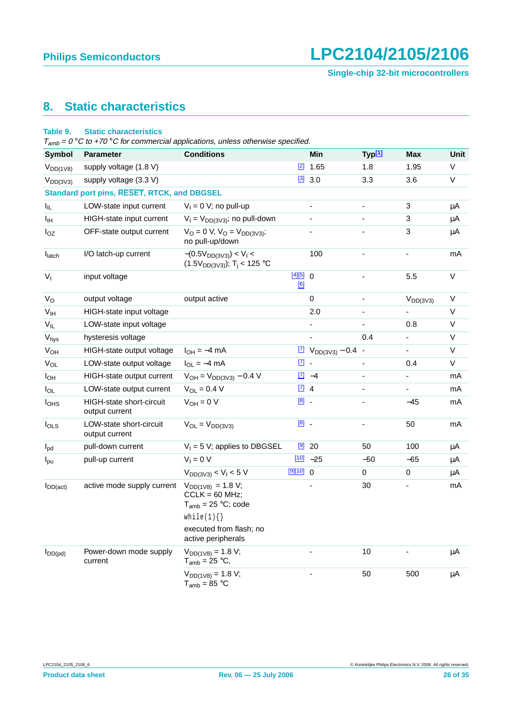**Single-chip 32-bit microcontrollers**

## <span id="page-25-0"></span>**8. Static characteristics**

#### **Table 9. Static characteristics**

 $T_{amb} = 0$  °C to +70 °C for commercial applications, unless otherwise specified.

| <b>Symbol</b>         | <b>Parameter</b>                            | <b>Conditions</b>                                                           |                     | Min                               | Typ[1]                   | Max            | <b>Unit</b> |
|-----------------------|---------------------------------------------|-----------------------------------------------------------------------------|---------------------|-----------------------------------|--------------------------|----------------|-------------|
| $V_{DD(1V8)}$         | supply voltage (1.8 V)                      |                                                                             |                     | $\boxed{2}$ 1.65                  | 1.8                      | 1.95           | V           |
| $V_{DD(3V3)}$         | supply voltage (3.3 V)                      |                                                                             |                     | $[3]$ 3.0                         | 3.3                      | 3.6            | V           |
|                       | Standard port pins, RESET, RTCK, and DBGSEL |                                                                             |                     |                                   |                          |                |             |
| $I_{IL}$              | LOW-state input current                     | $V_1 = 0$ V; no pull-up                                                     |                     | $\frac{1}{2}$                     | $\blacksquare$           | 3              | μA          |
| Iн                    | HIGH-state input current                    | $V_1 = V_{DD(3V3)}$ ; no pull-down                                          |                     | $\overline{\phantom{a}}$          | $\blacksquare$           | 3              | $\mu$ A     |
| $I_{OZ}$              | OFF-state output current                    | $V_O = 0 V, V_O = V_{DD(3V3)};$<br>no pull-up/down                          |                     | ä,                                | $\blacksquare$           | 3              | μA          |
| $I_{\text{latch}}$    | I/O latch-up current                        | $-(0.5V_{DD(3V3)}) < V_1 <$<br>$(1.5V_{DD(3V3)})$ ; T <sub>i</sub> < 125 °C |                     | 100                               | $\blacksquare$           | $\blacksquare$ | mA          |
| $V_{I}$               | input voltage                               |                                                                             | [4][5] 0<br>[6]     |                                   | $\blacksquare$           | 5.5            | $\mathsf V$ |
| $V_{\rm O}$           | output voltage                              | output active                                                               |                     | 0                                 | $\overline{\phantom{a}}$ | $V_{DD(3V3)}$  | V           |
| V <sub>IH</sub>       | HIGH-state input voltage                    |                                                                             |                     | 2.0                               | $\overline{\phantom{a}}$ |                | V           |
| $V_{IL}$              | LOW-state input voltage                     |                                                                             |                     | $\overline{\phantom{0}}$          | $\blacksquare$           | 0.8            | V           |
| $V_{\text{hys}}$      | hysteresis voltage                          |                                                                             |                     | L.                                | 0.4                      | ÷.             | V           |
| <b>V<sub>OH</sub></b> | HIGH-state output voltage                   | $I_{OH} = -4$ mA                                                            |                     | $\boxed{7}$ $V_{DD(3V3)} - 0.4$ - |                          | $\blacksquare$ | V           |
| $V_{OL}$              | LOW-state output voltage                    | $I_{OL} = -4$ mA                                                            | $\underline{[7]}$ . |                                   | $\blacksquare$           | 0.4            | V           |
| $I_{OH}$              | HIGH-state output current                   | $V_{OH} = V_{DD(3V3)} - 0.4 V$                                              |                     | $\boxed{7}$ -4                    | $\blacksquare$           |                | mA          |
| $I_{OL}$              | LOW-state output current                    | $V_{OL} = 0.4 V$                                                            | $\boxed{7}$ 4       |                                   | $\blacksquare$           | $\blacksquare$ | mA          |
| l <sub>OHS</sub>      | HIGH-state short-circuit<br>output current  | $V_{OH} = 0 V$                                                              | $[8]$ .             |                                   | $\overline{\phantom{a}}$ | $-45$          | mA          |
| $I_{OLS}$             | LOW-state short-circuit<br>output current   | $V_{OL} = V_{DD(3V3)}$                                                      | $[8]$ .             |                                   | $\blacksquare$           | 50             | mA          |
| $I_{\text{pd}}$       | pull-down current                           | $V_1 = 5 V$ ; applies to DBGSEL                                             |                     | $[9]$ 20                          | 50                       | 100            | $\mu$ A     |
| $I_{\text{pu}}$       | pull-up current                             | $V_1 = 0 V$                                                                 |                     | $100 - 25$                        | $-50$                    | $-65$          | μA          |
|                       |                                             | $V_{DD(3V3)} < V_1 < 5 V$                                                   | $[9][10]$ 0         |                                   | 0                        | 0              | $\mu$ A     |
| $I_{DD(act)}$         | active mode supply current                  | $V_{DD(1V8)} = 1.8 V;$<br>$CCLK = 60 MHz$ ;<br>$T_{amb}$ = 25 °C; code      |                     |                                   | 30                       |                | mA          |
|                       |                                             | while(1) $\{\}$                                                             |                     |                                   |                          |                |             |
|                       |                                             | executed from flash; no<br>active peripherals                               |                     |                                   |                          |                |             |
| $I_{DD(pd)}$          | Power-down mode supply<br>current           | $V_{DD(1V8)} = 1.8 V;$<br>$T_{amb}$ = 25 °C,                                |                     |                                   | 10                       |                | μA          |
|                       |                                             | $V_{DD(1V8)} = 1.8 V;$<br>$T_{amb} = 85 °C$                                 |                     | L.                                | 50                       | 500            | $\mu$ A     |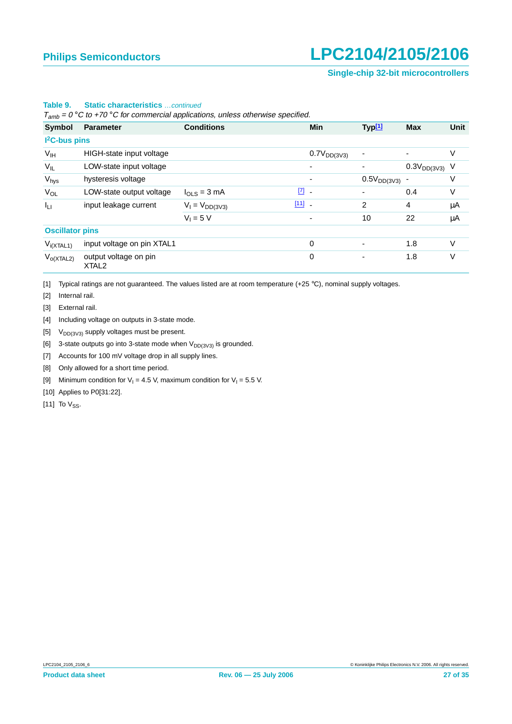#### **Single-chip 32-bit microcontrollers**

|                           |                                            | $T_{amb}$ = 0 °C to +70 °C for commercial applications, unless otherwise specified. |                                                               |                                    |                    |             |
|---------------------------|--------------------------------------------|-------------------------------------------------------------------------------------|---------------------------------------------------------------|------------------------------------|--------------------|-------------|
| Symbol                    | <b>Parameter</b>                           | <b>Conditions</b>                                                                   | <b>Min</b>                                                    | Typ <sup>[1]</sup>                 | <b>Max</b>         | <b>Unit</b> |
| I <sup>2</sup> C-bus pins |                                            |                                                                                     |                                                               |                                    |                    |             |
| $V_{\text{IH}}$           | HIGH-state input voltage                   |                                                                                     | $0.7V_{DD(3V3)}$                                              |                                    |                    | V           |
| $V_{IL}$                  | LOW-state input voltage                    |                                                                                     |                                                               |                                    | $0.3V_{DD(3V3)}$ V |             |
| $V_{\text{hys}}$          | hysteresis voltage                         |                                                                                     |                                                               | $0.5\mathrm{V}_{\mathrm{DD(3V3)}}$ |                    | V           |
| $V_{OL}$                  | LOW-state output voltage                   | $I_{OLS} = 3$ mA                                                                    | $\begin{bmatrix} 7 \end{bmatrix}$<br>$\overline{\phantom{a}}$ |                                    | 0.4                | V           |
| Ιu                        | input leakage current                      | $V_1 = V_{DD(3V3)}$                                                                 | $[11]$ $-$                                                    | $\overline{2}$                     | 4                  | μA          |
|                           |                                            | $V_1 = 5 V$                                                                         | ۰                                                             | 10                                 | 22                 | μA          |
| <b>Oscillator pins</b>    |                                            |                                                                                     |                                                               |                                    |                    |             |
| $V_{i(XTAL1)}$            | input voltage on pin XTAL1                 |                                                                                     | 0                                                             |                                    | 1.8                | $\vee$      |
| $V_{o(XTAL2)}$            | output voltage on pin<br>XTAL <sub>2</sub> |                                                                                     | 0                                                             |                                    | 1.8                | V           |

#### **Table 9. Static characteristics** …continued

 $T_{amb}$  = 0 °C to +70 °C for commercial applications, unless otherwise specified.

<span id="page-26-0"></span>[1] Typical ratings are not guaranteed. The values listed are at room temperature (+25 °C), nominal supply voltages.

<span id="page-26-1"></span>[2] Internal rail.

<span id="page-26-2"></span>[3] External rail.

<span id="page-26-3"></span>[4] Including voltage on outputs in 3-state mode.

<span id="page-26-4"></span>[5]  $V_{DD(3V3)}$  supply voltages must be present.

<span id="page-26-5"></span>[6] 3-state outputs go into 3-state mode when  $V_{DD(3V3)}$  is grounded.

<span id="page-26-6"></span>[7] Accounts for 100 mV voltage drop in all supply lines.

<span id="page-26-7"></span>[8] Only allowed for a short time period.

<span id="page-26-8"></span>[9] Minimum condition for  $V_1 = 4.5$  V, maximum condition for  $V_1 = 5.5$  V.

<span id="page-26-9"></span>[10] Applies to P0[31:22].

<span id="page-26-10"></span>[11] To  $V_{SS}$ .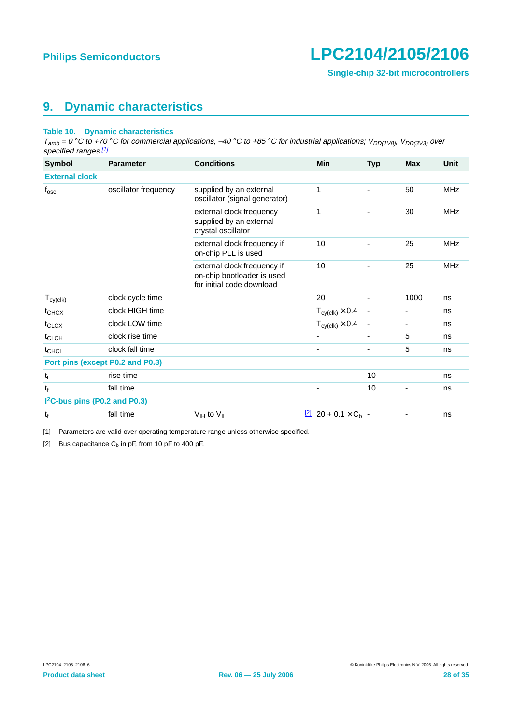### <span id="page-27-2"></span>**9. Dynamic characteristics**

#### **Table 10. Dynamic characteristics**

 $T_{amb} = 0^\circ \text{C}$  to +70 °C for commercial applications, -40 °C to +85 °C for industrial applications;  $V_{DD(1V8)}$ ,  $V_{DD(3V3)}$  over specified ranges.[\[1\]](#page-27-0)

| <b>Symbol</b>                             | <b>Parameter</b>     | <b>Conditions</b>                                                                      | <b>Min</b>                                  | <b>Typ</b> | <b>Max</b> | <b>Unit</b> |
|-------------------------------------------|----------------------|----------------------------------------------------------------------------------------|---------------------------------------------|------------|------------|-------------|
| <b>External clock</b>                     |                      |                                                                                        |                                             |            |            |             |
| $\mathsf{f}_{\mathsf{osc}}$               | oscillator frequency | supplied by an external<br>oscillator (signal generator)                               | 1                                           |            | 50         | <b>MHz</b>  |
|                                           |                      | external clock frequency<br>supplied by an external<br>crystal oscillator              | 1                                           |            | 30         | <b>MHz</b>  |
|                                           |                      | external clock frequency if<br>on-chip PLL is used                                     | 10                                          |            | 25         | <b>MHz</b>  |
|                                           |                      | external clock frequency if<br>on-chip bootloader is used<br>for initial code download | 10                                          |            | 25         | <b>MHz</b>  |
| $T_{cy(clk)}$                             | clock cycle time     |                                                                                        | 20                                          |            | 1000       | ns          |
| $t_{CHCX}$                                | clock HIGH time      |                                                                                        | $T_{\text{cy}(\text{clk})} \times 0.4$      |            |            | ns          |
| $t_{CLCX}$                                | clock LOW time       |                                                                                        | $T_{cy(clk)} \times 0.4$                    |            |            | ns          |
| $t_{CLCH}$                                | clock rise time      |                                                                                        |                                             | -          | 5          | ns          |
| t <sub>CHCL</sub>                         | clock fall time      |                                                                                        | $\overline{\phantom{0}}$                    | ۰          | 5          | ns          |
| Port pins (except P0.2 and P0.3)          |                      |                                                                                        |                                             |            |            |             |
| t,                                        | rise time            |                                                                                        |                                             | 10         |            | ns          |
| $\mathfrak{t}_{\mathsf{f}}$               | fall time            |                                                                                        |                                             | 10         |            | ns          |
| I <sup>2</sup> C-bus pins (P0.2 and P0.3) |                      |                                                                                        |                                             |            |            |             |
| t <sub>f</sub>                            | fall time            | $V_{\text{IH}}$ to $V_{\text{IL}}$                                                     | $\frac{[2]}{2}$ 20 + 0.1 × C <sub>b</sub> - |            |            | ns          |

<span id="page-27-0"></span>[1] Parameters are valid over operating temperature range unless otherwise specified.

<span id="page-27-1"></span>[2] Bus capacitance  $C_b$  in pF, from 10 pF to 400 pF.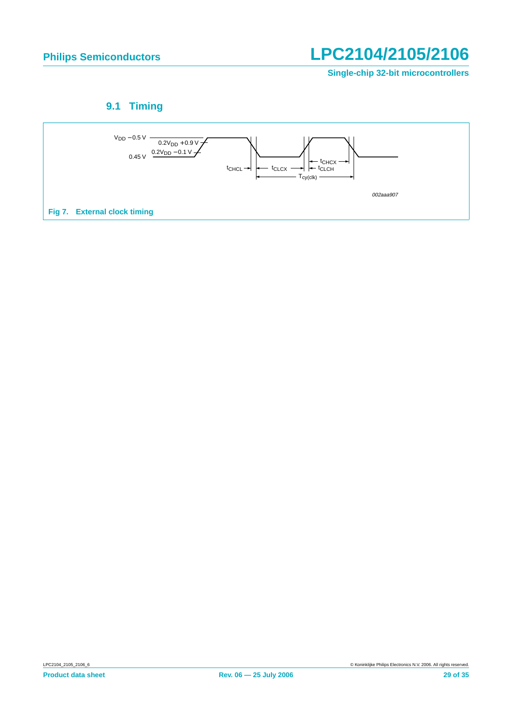**Single-chip 32-bit microcontrollers**

## **9.1 Timing**

<span id="page-28-0"></span>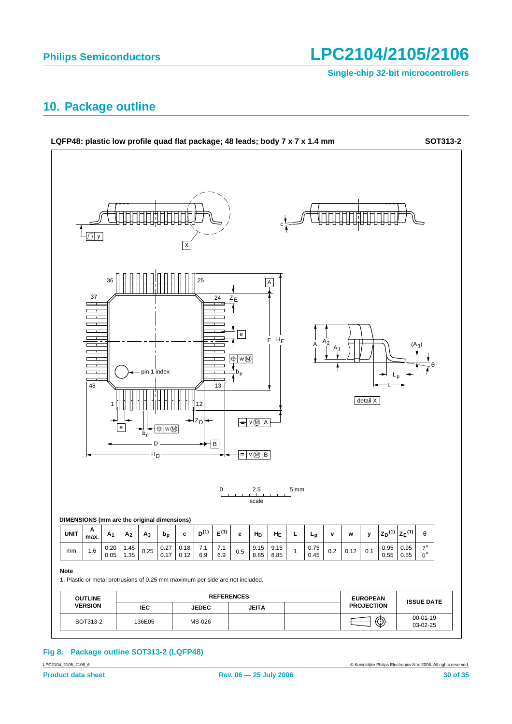**Single-chip 32-bit microcontrollers**

### <span id="page-29-0"></span>**10. Package outline**



### **Fig 8. Package outline SOT313-2 (LQFP48)**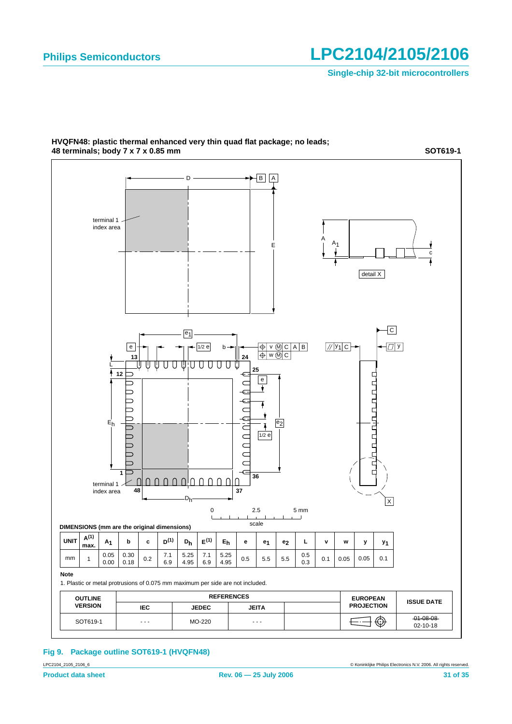**Single-chip 32-bit microcontrollers**

**SOT619-1**



#### **HVQFN48: plastic thermal enhanced very thin quad flat package; no leads; 48 terminals; body 7 x 7 x 0.85 mm**

**Fig 9. Package outline SOT619-1 (HVQFN48)**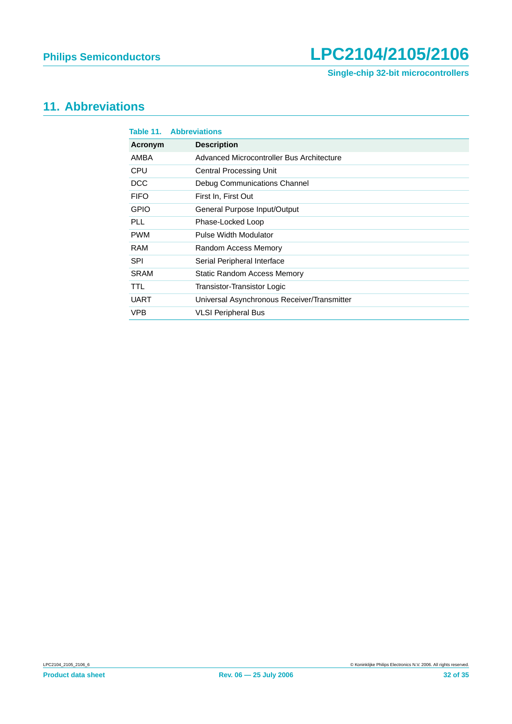**Single-chip 32-bit microcontrollers**

## <span id="page-31-0"></span>**11. Abbreviations**

| Table 11.   | <b>Abbreviations</b>                        |
|-------------|---------------------------------------------|
| Acronym     | <b>Description</b>                          |
| AMBA        | Advanced Microcontroller Bus Architecture   |
| <b>CPU</b>  | <b>Central Processing Unit</b>              |
| <b>DCC</b>  | Debug Communications Channel                |
| <b>FIFO</b> | First In, First Out                         |
| <b>GPIO</b> | General Purpose Input/Output                |
| <b>PLL</b>  | Phase-Locked Loop                           |
| <b>PWM</b>  | Pulse Width Modulator                       |
| <b>RAM</b>  | Random Access Memory                        |
| <b>SPI</b>  | Serial Peripheral Interface                 |
| SRAM        | Static Random Access Memory                 |
| <b>TTL</b>  | Transistor-Transistor Logic                 |
| <b>UART</b> | Universal Asynchronous Receiver/Transmitter |
| <b>VPB</b>  | <b>VLSI Peripheral Bus</b>                  |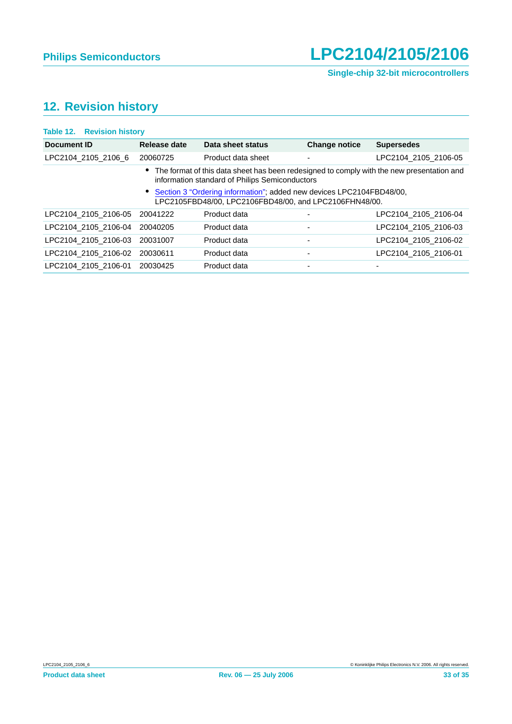# <span id="page-32-0"></span>**12. Revision history**

| <b>Table 12. Revision history</b> |              |                                                                                                                                               |                      |                      |
|-----------------------------------|--------------|-----------------------------------------------------------------------------------------------------------------------------------------------|----------------------|----------------------|
| <b>Document ID</b>                | Release date | Data sheet status                                                                                                                             | <b>Change notice</b> | <b>Supersedes</b>    |
| LPC2104 2105 2106 6               | 20060725     | Product data sheet                                                                                                                            | ٠                    | LPC2104 2105 2106-05 |
|                                   |              | • The format of this data sheet has been redesigned to comply with the new presentation and<br>information standard of Philips Semiconductors |                      |                      |
|                                   |              | Section 3 "Ordering information"; added new devices LPC2104FBD48/00,<br>LPC2105FBD48/00, LPC2106FBD48/00, and LPC2106FHN48/00.                |                      |                      |
| LPC2104_2105_2106-05              | 20041222     | Product data                                                                                                                                  |                      | LPC2104 2105 2106-04 |
| LPC2104 2105 2106-04              | 20040205     | Product data                                                                                                                                  | ٠                    | LPC2104 2105 2106-03 |
| LPC2104 2105 2106-03              | 20031007     | Product data                                                                                                                                  | ٠                    | LPC2104 2105 2106-02 |
| LPC2104 2105 2106-02              | 20030611     | Product data                                                                                                                                  |                      | LPC2104_2105_2106-01 |
| LPC2104 2105 2106-01              | 20030425     | Product data                                                                                                                                  | ٠                    |                      |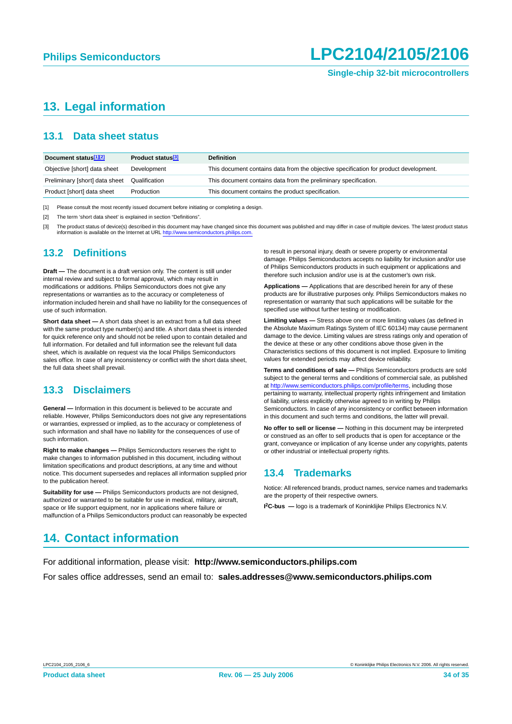## <span id="page-33-0"></span>**13. Legal information**

### <span id="page-33-1"></span>**13.1 Data sheet status**

| Document status <sup>[1][2]</sup> | Product status <sup>[3]</sup> | <b>Definition</b>                                                                     |
|-----------------------------------|-------------------------------|---------------------------------------------------------------------------------------|
| Objective [short] data sheet      | Development                   | This document contains data from the objective specification for product development. |
| Preliminary [short] data sheet    | Qualification                 | This document contains data from the preliminary specification.                       |
| Product [short] data sheet        | Production                    | This document contains the product specification.                                     |

[1] Please consult the most recently issued document before initiating or completing a design.

[2] The term 'short data sheet' is explained in section "Definitions".

[3] The product status of device(s) described in this document may have changed since this document was published and may differ in case of multiple devices. The latest product status information is available on the Internet at URL http://www.ser

#### <span id="page-33-2"></span>**13.2 Definitions**

**Draft —** The document is a draft version only. The content is still under internal review and subject to formal approval, which may result in modifications or additions. Philips Semiconductors does not give any representations or warranties as to the accuracy or completeness of information included herein and shall have no liability for the consequences of use of such information.

**Short data sheet —** A short data sheet is an extract from a full data sheet with the same product type number(s) and title. A short data sheet is intended for quick reference only and should not be relied upon to contain detailed and full information. For detailed and full information see the relevant full data sheet, which is available on request via the local Philips Semiconductors sales office. In case of any inconsistency or conflict with the short data sheet, the full data sheet shall prevail.

### <span id="page-33-3"></span>**13.3 Disclaimers**

**General —** Information in this document is believed to be accurate and reliable. However, Philips Semiconductors does not give any representations or warranties, expressed or implied, as to the accuracy or completeness of such information and shall have no liability for the consequences of use of such information.

**Right to make changes —** Philips Semiconductors reserves the right to make changes to information published in this document, including without limitation specifications and product descriptions, at any time and without notice. This document supersedes and replaces all information supplied prior to the publication hereof.

**Suitability for use —** Philips Semiconductors products are not designed, authorized or warranted to be suitable for use in medical, military, aircraft, space or life support equipment, nor in applications where failure or malfunction of a Philips Semiconductors product can reasonably be expected to result in personal injury, death or severe property or environmental damage. Philips Semiconductors accepts no liability for inclusion and/or use of Philips Semiconductors products in such equipment or applications and therefore such inclusion and/or use is at the customer's own risk.

**Applications —** Applications that are described herein for any of these products are for illustrative purposes only. Philips Semiconductors makes no representation or warranty that such applications will be suitable for the specified use without further testing or modification.

**Limiting values —** Stress above one or more limiting values (as defined in the Absolute Maximum Ratings System of IEC 60134) may cause permanent damage to the device. Limiting values are stress ratings only and operation of the device at these or any other conditions above those given in the Characteristics sections of this document is not implied. Exposure to limiting values for extended periods may affect device reliability.

**Terms and conditions of sale —** Philips Semiconductors products are sold subject to the general terms and conditions of commercial sale, as published at <http://www.semiconductors.philips.com/profile/terms>, including those pertaining to warranty, intellectual property rights infringement and limitation of liability, unless explicitly otherwise agreed to in writing by Philips Semiconductors. In case of any inconsistency or conflict between information in this document and such terms and conditions, the latter will prevail.

**No offer to sell or license —** Nothing in this document may be interpreted or construed as an offer to sell products that is open for acceptance or the grant, conveyance or implication of any license under any copyrights, patents or other industrial or intellectual property rights.

#### <span id="page-33-4"></span>**13.4 Trademarks**

Notice: All referenced brands, product names, service names and trademarks are the property of their respective owners.

**I 2C-bus —** logo is a trademark of Koninklijke Philips Electronics N.V.

## <span id="page-33-5"></span>**14. Contact information**

For additional information, please visit: **http://www.semiconductors.philips.com**

For sales office addresses, send an email to: **sales.addresses@www.semiconductors.philips.com**